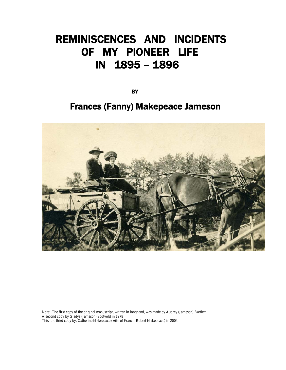# REMINISCENCES AND INCIDENTS OF MY PIONEER LIFE IN 1895 – 1896

**BY** The contract of the contract of the contract of the contract of the contract of the contract of the contract of

# Frances (Fanny) Makepeace Jameson



Note: The first copy of the original manuscript, written in longhand, was made by Audrey (Jameson) Bartlett. A second copy by Gladys (Jameson) Scotvold in 1978 This, the third copy by, Catherine Makepeace (wife of Francis Robert Makepeace) in 2004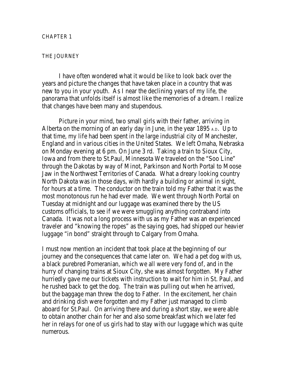# THE JOURNEY

I have often wondered what it would be like to look back over the years and picture the changes that have taken place in a country that was new to you in your youth. As I near the declining years of my life, the panorama that unfolds itself is almost like the memories of a dream. I realize that changes have been many and stupendous.

Picture in your mind, two small girls with their father, arriving in Alberta on the morning of an early day in June, in the year 1895 A.D. Up to that time, my life had been spent in the large industrial city of Manchester, England and in various cities in the United States. We left Omaha, Nebraska on Monday evening at 6 pm. On June 3 rd. Taking a train to Sioux City, Iowa and from there to St.Paul, Minnesota We traveled on the "Soo Line" through the Dakotas by way of Minot, Parkinson and North Portal to Moose Jaw in the Northwest Territories of Canada. What a dreary looking country North Dakota was in those days, with hardly a building or animal in sight, for hours at a time. The conductor on the train told my Father that it was the most monotonous run he had ever made. We went through North Portal on Tuesday at midnight and our luggage was examined there by the US customs officials, to see if we were smuggling anything contraband into Canada. It was not a long process with us as my Father was an experienced traveler and "knowing the ropes" as the saying goes, had shipped our heavier luggage "in bond" straight through to Calgary from Omaha.

I must now mention an incident that took place at the beginning of our journey and the consequences that came later on. We had a pet dog with us, a black purebred Pomeranian, which we all were very fond of, and in the hurry of changing trains at Sioux City, she was almost forgotten. My Father hurriedly gave me our tickets with instruction to wait for him in St. Paul, and he rushed back to get the dog. The train was pulling out when he arrived, but the baggage man threw the dog to Father. In the excitement, her chain and drinking dish were forgotten and my Father just managed to climb aboard for St.Paul. On arriving there and during a short stay, we were able to obtain another chain for her and also some breakfast which we later fed her in relays for one of us girls had to stay with our luggage which was quite numerous.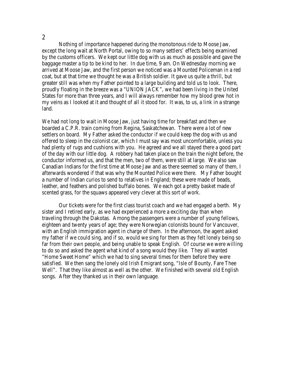Nothing of importance happened during the monotonous ride to Moose Jaw, except the long wait at North Portal, owing to so many settlers' effects being examined by the customs officers. We kept our little dog with us as much as possible and gave the baggage master a tip to be kind to her. In due time, 9 am. On Wednesday morning we arrived at Moose Jaw, and the first person we noticed was a Mounted Policeman in a red coat, but at that time we thought he was a British soldier. It gave us quite a thrill, but greater still was when my Father pointed to a large building and told us to look. There, proudly floating in the breeze was a "UNION JACK", we had been living in the United States for more than three years, and I will always remember how my blood grew hot in my veins as I looked at it and thought of all it stood for. It was, to us, a link in a strange land.

We had not long to wait in Moose Jaw, just having time for breakfast and then we boarded a C.P.R. train coming from Regina, Saskatchewan. There were a lot of new settlers on board. My Father asked the conductor if we could keep the dog with us and offered to sleep in the colonist car, which I must say was most uncomfortable, unless you had plenty of rugs and cushions with you. He agreed and we all stayed there a good part of the day with our little dog. A robbery had taken place on the train the night before, the conductor informed us, and that the men, two of them, were still at large. We also saw Canadian Indians for the first time at Moose Jaw and as there seemed so many of them, I afterwards wondered if that was why the Mounted Police were there. My Father bought a number of Indian curios to send to relatives in England; these were made of beads, leather, and feathers and polished buffalo bones. We each got a pretty basket made of scented grass, for the squaws appeared very clever at this sort of work.

Our tickets were for the first class tourist coach and we had engaged a berth. My sister and I retired early, as we had experienced a more a exciting day than when traveling through the Dakotas. Among the passengers were a number of young fellows, eighteen and twenty years of age; they were Norwegian colonists bound for Vancouver, with an English immigration agent in charge of them. In the afternoon, the agent asked my father if we could sing, and if so, would we sing for them as they felt lonely being so far from their own people, and being unable to speak English. Of course we were willing to do so and asked the agent what kind of a song would they like. They all wanted "Home Sweet Home" which we had to sing several times for them before they were satisfied. We then sang the lonely old Irish Emigrant song, "Isle of Bounty, Fare Thee Well". That they like almost as well as the other. We finished with several old English songs. After they thanked us in their own language.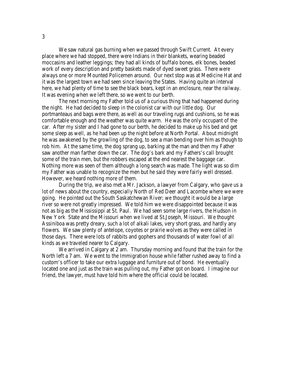We saw natural gas burning when we passed through Swift Current. At every place where we had stopped, there were Indians in their blankets, wearing beaded moccasins and leather leggings; they had all kinds of buffalo bones, elk bones, beaded work of every description and pretty baskets made of dyed sweet grass. There were always one or more Mounted Policemen around. Our next stop was at Medicine Hat and it was the largest town we had seen since leaving the States. Having quite an interval here, we had plenty of time to see the black bears, kept in an enclosure, near the railway. It was evening when we left there, so we went to our berth.

The next morning my Father told us of a curious thing that had happened during the night. He had decided to sleep in the colonist car with our little dog. Our portmanteaus and bags were there, as well as our traveling rugs and cushions, so he was comfortable enough and the weather was quite warm. He was the only occupant of the car. After my sister and I had gone to our berth, he decided to make up his bed and get some sleep as well, as he had been up the night before at North Portal. About midnight he was awakened by the growling of the dog, to see a man bending over him as though to rob him. At the same time, the dog sprang up, barking at the man and then my Father saw another man farther down the car. The dog's bark and my Fathers's call brought some of the train men, but the robbers escaped at the end nearest the baggage car. Nothing more was seen of them although a long search was made. The light was so dim my Father was unable to recognize the men but he said they were fairly well dressed. However, we heard nothing more of them.

During the trip, we also met a Mr. Jackson, a lawyer from Calgary, who gave us a lot of news about the country, especially North of Red Deer and Lacombe where we were going. He pointed out the South Saskatchewan River; we thought it would be a large river so were not greatly impressed. We told him we were disappointed because it was not as big as the Mississippi at St. Paul. We had seen some large rivers, the Hudson in New York State and the Missouri when we lived at St.Joseph, Missouri. We thought Assiniboa was pretty dreary, such a lot of alkali lakes, very short grass, and hardly any flowers. We saw plenty of antelope, coyotes or prairie wolves as they were called in those days. There were lots of rabbits and gophers and thousands of water fowl of all kinds as we traveled nearer to Calgary.

We arrived in Calgary at 2 am. Thursday morning and found that the train for the North left a 7 am. We went to the Immigration house while father rushed away to find a custom's officer to take our extra luggage and furniture out of bond. He eventually located one and just as the train was pulling out, my Father got on board. I imagine our friend, the lawyer, must have told him where the official could be located.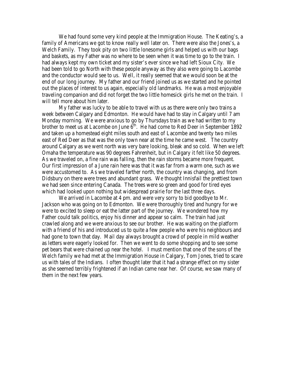We had found some very kind people at the Immigration House. The Keating's, a family of Americans we got to know really well later on. There were also the Jones's, a Welch Family. They took pity on two little lonesome girls and helped us with our bags and baskets, as my Father was no where to be seen when it was time to go to the train. I had always kept my own ticket and my sister's ever since we had left Sioux City. We had been told to go North with these people anyway as they also were going to Lacombe and the conductor would see to us. Well, it really seemed that we would soon be at the end of our long journey. My father and our friend joined us as we started and he pointed out the places of interest to us again, especially old landmarks. He was a most enjoyable traveling companion and did not forget the two little homesick girls he met on the train. I will tell more about him later.

My father was lucky to be able to travel with us as there were only two trains a week between Calgary and Edmonton. He would have had to stay in Calgary until 7 am Monday morning. We were anxious to go by Thursdays train as we had written to my brother to meet us at Lacombe on June  $6<sup>th</sup>$ . He had come to Red Deer in September 1892 and taken up a homestead eight miles south and east of Lacombe and twenty two miles east of Red Deer as that was the only town near at the time he came west. The country around Calgary as we went north was very bare looking, bleak and so cold. When we left Omaha the temperature was 90 degrees Fahrenheit, but in Calgary it felt like 50 degrees. As we traveled on, a fine rain was falling, then the rain storms became more frequent. Our first impression of a June rain here was that it was far from a warm one, such as we were accustomed to. As we traveled farther north, the country was changing, and from Didsbury on there were trees and abundant grass. We thought Innisfail the prettiest town we had seen since entering Canada. The trees were so green and good for tired eyes which had looked upon nothing but widespread prairie for the last three days.

We arrived in Lacombe at 4 pm. and were very sorry to bid goodbye to Mr. Jackson who was going on to Edmonton. We were thoroughly tired and hungry for we were to excited to sleep or eat the latter part of the journey. We wondered how my Father could talk politics, enjoy his dinner and appear so calm. The train had just crawled along and we were anxious to see our brother. He was waiting on the platform with a friend of his and introduced us to quite a few people who were his neighbours and had gone to town that day. Mail day always brought a crowd of people in mild weather as letters were eagerly looked for. Then we went to do some shopping and to see some pet bears that were chained up near the hotel. I must mention that one of the sons of the Welch family we had met at the Immigration House in Calgary, Tom Jones, tried to scare us with tales of the Indians. I often thought later that it had a strange effect on my sister as she seemed terribly frightened if an Indian came near her. Of course, we saw many of them in the next few years.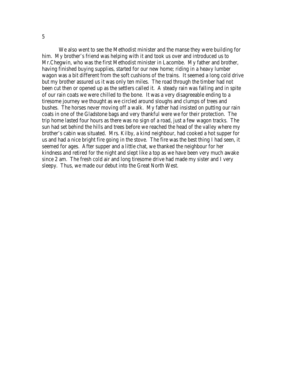We also went to see the Methodist minister and the manse they were building for him. My brother's friend was helping with it and took us over and introduced us to Mr.Chegwin, who was the first Methodist minister in Lacombe. My father and brother, having finished buying supplies, started for our new home; riding in a heavy lumber wagon was a bit different from the soft cushions of the trains. It seemed a long cold drive but my brother assured us it was only ten miles. The road through the timber had not been cut then or opened up as the settlers called it. A steady rain was falling and in spite of our rain coats we were chilled to the bone. It was a very disagreeable ending to a tiresome journey we thought as we circled around sloughs and clumps of trees and bushes. The horses never moving off a walk. My father had insisted on putting our rain coats in one of the Gladstone bags and very thankful were we for their protection. The trip home lasted four hours as there was no sign of a road, just a few wagon tracks. The sun had set behind the hills and trees before we reached the head of the valley where my brother's cabin was situated. Mrs. Kilby, a kind neighbour, had cooked a hot supper for us and had a nice bright fire going in the stove. The fire was the best thing I had seen, it seemed for ages. After supper and a little chat, we thanked the neighbour for her kindness and retired for the night and slept like a top as we have been very much awake since 2 am. The fresh cold air and long tiresome drive had made my sister and I very sleepy. Thus, we made our debut into the Great North West.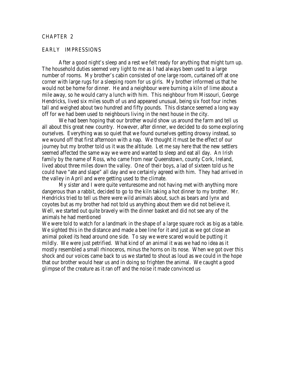# CHAPTER 2

#### EARLY IMPRESSIONS

After a good night's sleep and a rest we felt ready for anything that might turn up. The household duties seemed very light to me as I had always been used to a large number of rooms. My brother's cabin consisted of one large room, curtained off at one corner with large rugs for a sleeping room for us girls. My brother informed us that he would not be home for dinner. He and a neighbour were burning a kiln of lime about a mile away, so he would carry a lunch with him. This neighbour from Missouri, George Hendricks, lived six miles south of us and appeared unusual, being six foot four inches tall and weighed about two hundred and fifty pounds. This distance seemed a long way off for we had been used to neighbours living in the next house in the city.

We had been hoping that our brother would show us around the farm and tell us all about this great new country. However, after dinner, we decided to do some exploring ourselves. Everything was so quiet that we found ourselves getting drowsy instead, so we wound off that first afternoon with a nap. We thought it must be the effect of our journey but my brother told us it was the altitude. Let me say here that the new settlers seemed affected the same way we were and wanted to sleep and eat all day. An Irish family by the name of Ross, who came from near Queenstown, county Cork, Ireland, lived about three miles down the valley. One of their boys, a lad of sixteen told us he could have "ate and slape" all day and we certainly agreed with him. They had arrived in the valley in April and were getting used to the climate.

My sister and I were quite venturesome and not having met with anything more dangerous than a rabbit, decided to go to the kiln taking a hot dinner to my brother. Mr. Hendricks tried to tell us there were wild animals about, such as bears and lynx and coyotes but as my brother had not told us anything about them we did not believe it. Well, we started out quite bravely with the dinner basket and did not see any of the animals he had mentioned

We were told to watch for a landmark in the shape of a large square rock as big as a table. We sighted this in the distance and made a bee line for it and just as we got close an animal poked its head around one side. To say we were scared would be putting it mildly. We were just petrified. What kind of an animal it was we had no idea as it mostly resembled a small rhinoceros, minus the horns on its nose. When we got over this shock and our voices came back to us we started to shout as loud as we could in the hope that our brother would hear us and in doing so frighten the animal. We caught a good glimpse of the creature as it ran off and the noise it made convinced us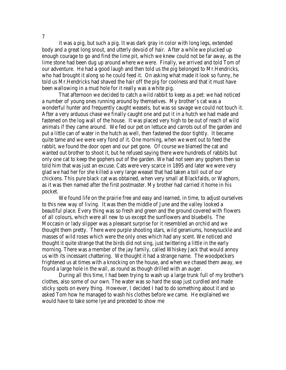it was a pig, but such a pig. It was dark gray in color with long legs, extended body and a great long snout, and utterly devoid of hair. After a while we plucked up enough courage to go and find the lime pit, which we knew could not be far away, as the lime stone had been dug up around where we were. Finally, we arrived and told Tom of our adventure. He had a good laugh and then told us the pig belonged to Mr.Hendricks, who had brought it along so he could feed it. On asking what made it look so funny, he told us Mr.Hendricks had shaved the hair off the pig for coolness and that it must have been wallowing in a mud hole for it really was a white pig.

That afternoon we decided to catch a wild rabbit to keep as a pet: we had noticed a number of young ones running around by themselves. My brother's cat was a wonderful hunter and frequently caught weasels, but was so savage we could not touch it. After a very arduous chase we finally caught one and put it in a hutch we had made and fastened on the log wall of the house. It was placed very high to be out of reach of wild animals if they came around. We fed our pet on lettuce and carrots out of the garden and put a little can of water in the hutch as well, then fastened the door tightly. It became quite tame and we were very fond of it. One morning, when we went out to feed the rabbit, we found the door open and our pet gone. Of course we blamed the cat and wanted out brother to shoot it, but he refused saying there were hundreds of rabbits but only one cat to keep the gophers out of the garden. We had not seen any gophers then so told him that was just an excuse. Cats were very scarce in 1895 and later we were very glad we had her for she killed a very large weasel that had taken a toll out of our chickens. This pure black cat was obtained, when very small at Blackfalds, or Waghorn, as it was then named after the first postmaster. My brother had carried it home in his pocket.

We found life on the prairie free and easy and learned, in time, to adjust ourselves to this new way of living. It was then the middle of June and the valley looked a beautiful place. Every thing was so fresh and green and the ground covered with flowers of all colours, which were all new to us except the sunflowers and bluebells. The Moccasin or lady slipper was a pleasant surprise for it resembled an orchid and we thought them pretty. There were purple shooting stars, wild geraniums, honeysuckle and masses of wild roses which were the only ones which had any scent. We noticed and thought it quite strange that the birds did not sing, just twittering a little in the early morning. There was a member of the jay family, called Whiskey Jack that would annoy us with its incessant chattering. We thought it had a strange name. The woodpeckers frightened us at times with a knocking on the house, and when we chased them away, we found a large hole in the wall, as round as though drilled with an auger.

During all this time, I had been trying to wash up a large trunk full of my brother's clothes, also some of our own. The water was so hard the soap just curdled and made sticky spots on every thing. However, I decided I had to do something about it and so asked Tom how he managed to wash his clothes before we came. He explained we would have to take some lye and preceded to show me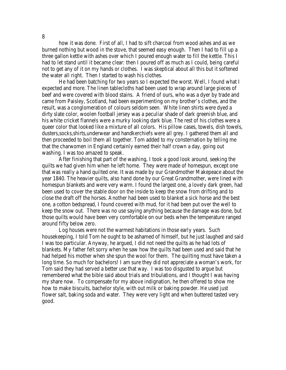how it was done. First of all, I had to sift charcoal from wood ashes and as we burned nothing but wood in the stove, that seemed easy enough. Then I had to fill up a three gallon kettle with ashes over which I poured enough water to fill the kettle. This I had to let stand until it became clear: then I poured off as much as I could, being careful not to get any of it on my hands or clothes. I was skeptical about all this but it softened the water all right. Then I started to wash his clothes.

He had been batching for two years so I expected the worst. Well, I found what I expected and more. The linen tablecloths had been used to wrap around large pieces of beef and were covered with blood stains. A friend of ours, who was a dyer by trade and came from Paisley, Scotland, had been experimenting on my brother's clothes, and the result, was a conglomeration of colours seldom seen. White linen shirts were dyed a dirty slate color, woolen football jersey was a peculiar shade of dark greenish blue, and his white cricket flannels were a murky looking dark blue. The rest of his clothes were a queer color that looked like a mixture of all colors. His pillow cases, towels, dish towels, dusters,socks,shirts,underwear and handkerchiefs were all grey. I gathered them all and then proceeded to boil them all together. Tom added to my consternation by telling me that the charwomen in England certainly earned their half crown a day, going out washing. I was too amazed to speak.

After finishing that part of the washing, I took a good look around, seeking the quilts we had given him when he left home. They were made of homespun, except one that was really a hand quilted one. It was made by our Grandmother Makepeace about the year 1840. The heavier quilts, also hand done by our Great Grandmother, were lined with homespun blankets and were very warm. I found the largest one, a lovely dark green, had been used to cover the stable door on the inside to keep the snow from drifting and to close the draft off the horses. Another had been used to blanket a sick horse and the best one, a cotton bedspread, I found covered with mud, for it had been put over the well to keep the snow out. There was no use saying anything because the damage was done, but those quilts would have been very comfortable on our beds when the temperature ranged around fifty below zero.

Log houses were not the warmest habitations in those early years. Such housekeeping, I told Tom he ought to be ashamed of himself, but he just laughed and said I was too particular. Anyway, he argued, I did not need the quilts as he had lots of blankets. My father felt sorry when he saw how the quilts had been used and said that he had helped his mother when she spun the wool for them. The quilting must have taken a long time. So much for bachelors! I am sure they did not appreciate a woman's work, for Tom said they had served a better use that way. I was too disgusted to argue but remembered what the bible said about trials and tribulations, and I thought I was having my share now. To compensate for my above indignation, he then offered to show me how to make biscuits, bachelor style, with out milk or baking powder. He used just flower salt, baking soda and water. They were very light and when buttered tasted very good.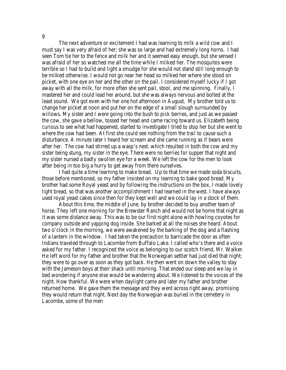The next adventure or excitement I had was learning to milk a wild cow and I must say I was very afraid of her; she was so large and had extremely long horns. I had seen Tom tie her to the fence and milk her and it seemed easy enough, but she sensed I was afraid of her so watched me all the time while I milked her. The mosquitos were terrible so I had to build and light a smudge for she would not stand still long enough to be milked otherwise. I would not go near her head so milked her where she stood on picket, with one eye on her and the other on the pail. I considered myself lucky if I got away with all the milk, for more often she sent pail, stool, and me spinning. Finally, I mastered her and could lead her around, but she was always nervous and bolted at the least sound. We got even with her one hot afternoon in August. My brother told us to change her picket at noon and put her on the edge of a small slough surrounded by willows. My sister and I were going into the bush to pick berries, and just as we passed the cow, she gave a bellow, tossed her head and came racing toward us. Elizabeth being curious to see what had happened, started to investigate I tried to stop her but she went to where the cow had been. At first she could see nothing from the trail to cause such a disturbance. A minute later I heard her scream and she came running as if bears were after her. The cow had stirred up a wasp's nest. which resulted in both the cow and my sister being stung, my sister in the eye. There were no berries for supper that night and my sister nursed a badly swollen eye for a week. We left the cow for the men to look after being in too big a hurry to get away from there ourselves.

I had quite a time learning to make bread. Up to that time we made soda biscuits, those before mentioned, so my father insisted on my learning to bake good bread. My brother had some Royal yeast and by following the instructions on the box, I made lovely light bread, so that was another accomplishment I had learned in the west. I have always used royal yeast cakes since then for they kept well and we could lay in a stock of them.

About this time, the middle of June, by brother decided to buy another team of horse. They left one morning for the Brewster Ranch and would not be home that night as it was some distance away. This was to be our first night alone with howling coyotes for company outside and yapping dog inside. She barked at all the noises she heard. About two o'clock in the morning, we were awakened by the barking of the dog and a flashing of a lantern in the window. I had taken the precaution to barricade the door as often Indians traveled through to Lacombe from Buffalo Lake. I called who's there and a voice asked for my father. I recognized the voice as belonging to our scotch friend, Mr. Walker. He left word for my father and brother that the Norwegian settler had just died that night; they were to go over as soon as they got back. He then went on down the valley to stay with the Jameson boys at their shack until morning. That ended our sleep and we lay in bed wondering if anyone else would be wandering about. We listened to the voices of the night. How thankful. We were when daylight came and later my father and brother returned home. We gave them the message and they went across right away, promising they would return that night. Next day the Norwegian was buried in the cemetery in Lacombe, some of the men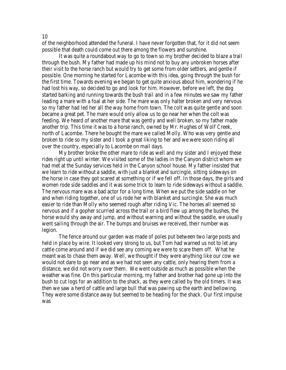of the neighborhood attended the funeral. I have never forgotten that, for it did not seem possible that death could come out there among the flowers and sunshine.

It was quite a roundabout way to go to town so my brother decided to blaze a trail through the bush. My father had made up his mind not to buy any unbroken horses after their visit to the horse ranch but would try to get some from older settlers, and gentle if possible. One morning he started for Lacombe with this idea, going through the bush for the first time. Towards evening we began to get quite anxious about him, wondering if he had lost his way, so decided to go and look for him. However, before we left, the dog started barking and running towards the bush trail and in a few minutes we saw my father leading a mare with a foal at her side. The mare was only halter broken and very nervous so my father had led her all the way home from town. The colt was quite gentle and soon became a great pet. The mare would only allow us to go near her when the colt was feeding. We heard of another mare that was gently and well broken, so my father made another trip. This time it was to a horse ranch, owned by Mr. Hughes of Wolf Creek, north of Lacombe. There he bought the mare we called Molly. Who was very gentle and broken to ride so my sister and I took a great liking to her and we were soon riding all over the country, especially to Lacombe on mail days.

My brother broke the other mare to ride as well and my sister and I enjoyed these rides right up until winter. We visited some of the ladies in the Canyon district whom we had met at the Sunday services held in the Canyon school house. My father insisted that we learn to ride without a saddle, with just a blanket and surcingle, sitting sideways on the horse in case they got scared at something or if we fell off. In those days, the girls and women rode side saddles and it was some trick to learn to ride sideways without a saddle. The nervous mare was a bad actor for a long time. When we put the side saddle on her and when riding together, one of us rode her with blanket and surcingle. She was much easier to ride than Molly who seemed rough after riding Vic. The horses all seemed so nervous and if a gopher scurried across the trail or a bird flew up among the bushes, the horse would shy away and jump, and without warning and without the saddle, we usually went sailing through the air. The bumps and bruises we received, their number was legion.

The fence around our garden was made of poles put between two large posts and held in place by wire. It looked very strong to us, but Tom had warned us not to let any cattle come around and if we did see any coming we were to scare them off. What he meant was to chase them away. Well, we thought if they were anything like our cow we would not dare to go near and as we had not seen any cattle, only hearing them from a distance, we did not worry over them. We went outside as much as possible when the weather was fine. On this particular morning, my father and brother had gone up into the bush to cut logs for an addition to the shack, as they were called by the old timers. It was then we saw a herd of cattle and large bull that was pawing up the earth and bellowing. They were some distance away but seemed to be heading for the shack. Our first impulse was

10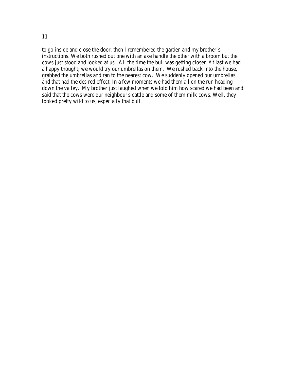to go inside and close the door; then I remembered the garden and my brother's instructions. We both rushed out one with an axe handle the other with a broom but the cows just stood and looked at us. All the time the bull was getting closer. At last we had a happy thought; we would try our umbrellas on them. We rushed back into the house, grabbed the umbrellas and ran to the nearest cow. We suddenly opened our umbrellas and that had the desired effect. In a few moments we had them all on the run heading down the valley. My brother just laughed when we told him how scared we had been and said that the cows were our neighbour's cattle and some of them milk cows. Well, they looked pretty wild to us, especially that bull.

11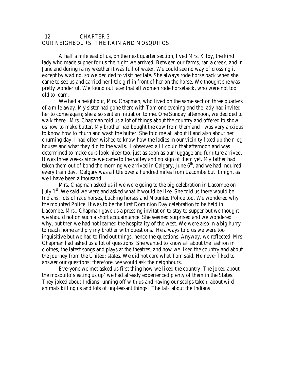# 12 CHAPTER 3 OUR NEIGHBOURS. THE RAIN AND MOSQUITOS

A half a mile east of us, on the next quarter section, lived Mrs. Kilby, the kind lady who made supper for us the night we arrived. Between our farms, ran a creek, and in June and during rainy weather it was full of water. We could see no way of crossing it except by wading, so we decided to visit her late. She always rode horse back when she came to see us and carried her little girl in front of her on the horse. We thought she was pretty wonderful. We found out later that all women rode horseback, who were not too old to learn.

We had a neighbour, Mrs. Chapman, who lived on the same section three quarters of a mile away. My sister had gone there with Tom one evening and the lady had invited her to come again; she also sent an initiation to me. One Sunday afternoon, we decided to walk there. Mrs. Chapman told us a lot of things about the country and offered to show us how to make butter. My brother had bought the cow from them and I was very anxious to know how to churn and wash the butter. She told me all about it and also about her churning day. I had often wished to know how the ladies in our vicinity fixed up their log houses and what they did to the walls. I observed all I could that afternoon and was determined to make ours look nicer too, just as soon as our luggage and furniture arrived. It was three weeks since we came to the valley and no sign of them yet. My father had taken them out of bond the morning we arrived in Calgary, June  $6<sup>th</sup>$ , and we had inquired every train day. Calgary was a little over a hundred miles from Lacombe but it might as well have been a thousand.

Mrs. Chapman asked us if we were going to the big celebration in Lacombe on July  $1<sup>st</sup>$ . We said we were and asked what it would be like. She told us there would be Indians, lots of race horses, bucking horses and Mounted Police too. We wondered why the mounted Police. It was to be the first Dominion Day celebration to be held in Lacombe. Mrs., Chapman gave us a pressing invitation to stay to supper but we thought we should not on such a short acquaintance. She seemed surprised and we wondered why, but then we had not learned the hospitality of the west. We were also in a big hurry to reach home and ply my brother with questions. He always told us we were too inquisitive but we had to find out things, hence the questions. Anyway, we reflected, Mrs. Chapman had asked us a lot of questions. She wanted to know all about the fashion in clothes, the latest songs and plays at the theatres, and how we liked the country and about the journey from the United; states. We did not care what Tom said. He never liked to answer our questions; therefore, we would ask the neighbours.

Everyone we met asked us first thing how we liked the country. The joked about the mosquito's eating us up' we had already experienced plenty of them in the States. They joked about Indians running off with us and having our scalps taken, about wild animals killing us and lots of unpleasant things. The talk about the Indians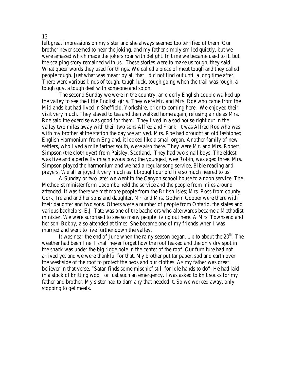left great impressions on my sister and she always seemed too terrified of them. Our brother never seemed to hear the joking, and my father simply smiled quietly, but we were amazed which made the jokers roar with delight. In time we became used to it, but the scalping story remained with us. These stories were to make us tough, they said. What queer words they used for things. We called a piece of meat tough and they called people tough. Just what was meant by all that I did not find out until a long time after. There were various kinds of tough; tough luck, tough going when the trail was rough, a tough guy, a tough deal with someone and so on.

The second Sunday we were in the country, an elderly English couple walked up the valley to see the little English girls. They were Mr. and Mrs. Roe who came from the Midlands but had lived in Sheffield, Yorkshire, prior to coming here. We enjoyed their visit very much. They stayed to tea and then walked home again, refusing a ride as Mrs. Roe said the exercise was good for them. They lived in a sod house right out in the valley two miles away with their two sons Alfred and Frank. It was Alfred Roe who was with my brother at the station the day we arrived. Mrs. Roe had brought an old fashioned English Harmonium from England, it looked like a small organ. Another family of new settlers, who lived a mile farther south, were also there. They were Mr. and Mrs. Robert Simpson (the cloth dyer) from Paisley, Scotland. They had two small boys. The eldest was five and a perfectly mischievous boy; the youngest, wee Robin, was aged three. Mrs. Simpson played the harmonium and we had a regular song service, Bible reading and prayers. We all enjoyed it very much as it brought our old life so much neared to us.

A Sunday or two later we went to the Canyon school house to a noon service. The Methodist minister form Lacombe held the service and the people from miles around attended. It was there we met more people from the British Isles; Mrs. Ross from county Cork, Ireland and her sons and daughter. Mr. and Mrs. Godwin Cooper were there with their daughter and two sons. Others were a number of people from Ontario, the states and various bachelors, E.J. Tate was one of the bachelors who afterwards became a Methodist minister. We were surprised to see so many people living out here. A Mrs. Townsend and her son, Bobby, also attended at times. She became one of my friends when I was married and went to live further down the valley.

It was near the end of June when the rainy season began. Up to about the  $20<sup>th</sup>$ . The weather had been fine. I shall never forget how the roof leaked and the only dry spot in the shack was under the big ridge pole in the center of the roof. Our furniture had not arrived yet and we were thankful for that. My brother put tar paper, sod and earth over the west side of the roof to protect the beds and our clothes. As my father was great believer in that verse, "Satan finds some mischief still for idle hands to do". He had laid in a stock of knitting wool for just such an emergency. I was asked to knit socks for my father and brother. My sister had to darn any that needed it. So we worked away, only stopping to get meals.

#### 13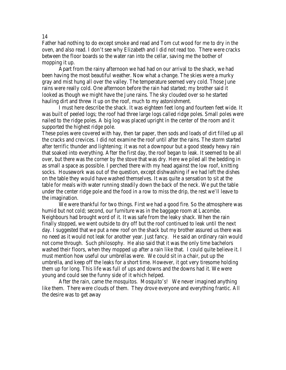Father had nothing to do except smoke and read and Tom cut wood for me to dry in the oven, and also read. I don't see why Elizabeth and I did not read too. There were cracks between the floor boards so the water ran into the cellar, saving me the bother of mopping it up.

Apart from the rainy afternoon we had had on our arrival to the shack, we had been having the most beautiful weather. Now what a change. The skies were a murky gray and mist hung all over the valley. The temperature seemed very cold. Those June rains were really cold. One afternoon before the rain had started; my brother said it looked as though we might have the June rains. The sky clouded over so he started hauling dirt and threw it up on the roof, much to my astonishment.

I must here describe the shack. It was eighteen feet long and fourteen feet wide. It was built of peeled logs; the roof had three large logs called ridge poles. Small poles were nailed to the ridge poles. A big log was placed upright in the center of the room and it supported the highest ridge pole.

These poles were covered with hay, then tar paper, then sods and loads of dirt filled up all the cracks and crevices. I did not examine the roof until after the rains. The storm started after terrific thunder and lightening; it was not a downpour but a good steady heavy rain that soaked into everything. After the first day, the roof began to leak. It seemed to be all over, but there was the corner by the stove that was dry. Here we piled all the bedding in as small a space as possible. I perched there with my head against the low roof, knitting socks. Housework was out of the question, except dishwashing if we had left the dishes on the table they would have washed themselves. It was quite a sensation to sit at the table for meals with water running steadily down the back of the neck. We put the table under the center ridge pole and the food in a row to miss the drip, the rest we'll leave to the imagination.

We were thankful for two things. First we had a good fire. So the atmosphere was humid but not cold; second, our furniture was in the baggage room at Lacombe. Neighbours had brought word of it. It was safe from the leaky shack. When the rain finally stopped, we went outside to dry off but the roof continued to leak until the next day. I suggested that we put a new roof on the shack but my brother assured us there was no need as it would not leak for another year. Just fancy. He said an ordinary rain would not come through. Such philosophy. He also said that it was the only time bachelors washed their floors, when they mopped up after a rain like that. I could quite believe it. I must mention how useful our umbrellas were. We could sit in a chair, put up the umbrella, and keep off the leaks for a short time. However, it got very tiresome holding them up for long. This life was full of ups and downs and the downs had it. We were young and could see the funny side of it which helped.

After the rain, came the mosquitos. Mosquito's! We never imagined anything like them. There were clouds of them. They drove everyone and everything frantic. All the desire was to get away

14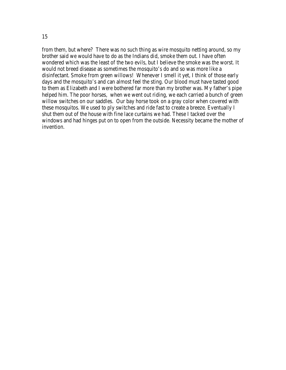from them, but where? There was no such thing as wire mosquito netting around, so my brother said we would have to do as the Indians did, smoke them out. I have often wondered which was the least of the two evils, but I believe the smoke was the worst. It would not breed disease as sometimes the mosquito's do and so was more like a disinfectant. Smoke from green willows! Whenever I smell it yet, I think of those early days and the mosquito's and can almost feel the sting. Our blood must have tasted good to them as Elizabeth and I were bothered far more than my brother was. My father's pipe helped him. The poor horses, when we went out riding, we each carried a bunch of green willow switches on our saddles. Our bay horse took on a gray color when covered with these mosquitos. We used to ply switches and ride fast to create a breeze. Eventually I shut them out of the house with fine lace curtains we had. These I tacked over the windows and had hinges put on to open from the outside. Necessity became the mother of invention.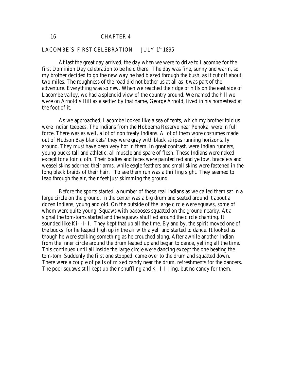16 CHAPTER 4

# LACOMBE'S FIRST CELEBRATION JULY 1st 1895

At last the great day arrived, the day when we were to drive to Lacombe for the first Dominion Day celebration to be held there. The day was fine, sunny and warm, so my brother decided to go the new way he had blazed through the bush, as it cut off about two miles. The roughness of the road did not bother us at all as it was part of the adventure. Everything was so new. When we reached the ridge of hills on the east side of Lacombe valley, we had a splendid view of the country around. We named the hill we were on Arnold's Hill as a settler by that name, George Arnold, lived in his homestead at the foot of it.

As we approached, Lacombe looked like a sea of tents, which my brother told us were Indian teepees. The Indians from the Hobbema Reserve near Ponoka, were in full force. There was as well, a lot of non treaty Indians. A lot of them wore costumes made out of Hudson Bay blankets' they were gray with black stripes running horizontally around. They must have been very hot in them. In great contrast, were Indian runners, young bucks tall and athletic, all muscle and spare of flesh. These Indians were naked except for a loin cloth. Their bodies and faces were painted red and yellow, bracelets and weasel skins adorned their arms, while eagle feathers and small skins were fastened in the long black braids of their hair. To see them run was a thrilling sight. They seemed to leap through the air, their feet just skimming the ground.

Before the sports started, a number of these real Indians as we called them sat in a large circle on the ground. In the center was a big drum and seated around it about a dozen Indians, young and old. On the outside of the large circle were squaws, some of whom were quite young. Squaws with papooses squatted on the ground nearby. At a signal the tom-toms started and the squaws shuffled around the circle chanting. It sounded like Ki- -I- I. They kept that up all the time. By and by, the spirit moved one of the bucks, for he leaped high up in the air with a yell and started to dance. It looked as though he were stalking something as he crouched along. After awhile another Indian from the inner circle around the drum leaped up and began to dance, yelling all the time. This continued until all inside the large circle were dancing except the one beating the tom-tom. Suddenly the first one stopped, came over to the drum and squatted down. There were a couple of pails of mixed candy near the drum, refreshments for the dancers. The poor squaws still kept up their shuffling and Ki-I-I-I ing, but no candy for them.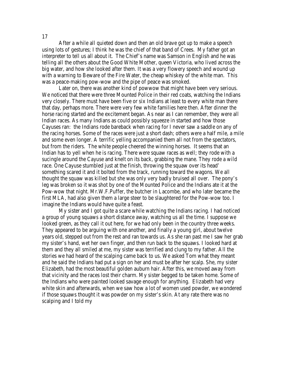After a while all quieted down and then an old brave got up to make a speech using lots of gestures; I think he was the chief of that band of Crees. My father got an interpreter to tell us all about it. The Chief's name was Samson in English and he was telling all the others about the Good White Mother, queen Victoria, who lived across the big water, and how she looked after them. It was a very flowery speech and wound up with a warning to Beware of the Fire Water, the cheap whiskey of the white man. This was a peace-making pow-wow and the pipe of peace was smoked.

Later on, there was another kind of powwow that might have been very serious. We noticed that there were three Mounted Police in their red coats, watching the Indians very closely. There must have been five or six Indians at least to every white man there that day, perhaps more. There were very few white families here then. After dinner the horse racing started and the excitement began. As near as I can remember, they were all Indian races. As many Indians as could possibly squeeze in started and how those Cayuses ran: the Indians rode bareback when racing for I never saw a saddle on any of the racing horses. Some of the races were just a short dash; others were a half mile, a mile and some even longer. A terrific yelling accompanied them all not from the spectators, but from the riders. The white people cheered the winning horses. It seems that an Indian has to yell when he is racing. There were squaw races as well; they rode with a sucingle around the Cayuse and knelt on its back, grabbing the mane. They rode a wild race. One Cayuse stumbled just at the finish, throwing the squaw over its head' something scared it and it bolted from the track, running toward the wagons. We all thought the squaw was killed but she was only very badly bruised all over. The pony's leg was broken so it was shot by one of the Mounted Police and the Indians ate it at the Pow-wow that night. Mr.W.F.Puffer, the butcher in Lacombe, and who later became the first MLA, had also given them a large steer to be slaughtered for the Pow-wow too. I imagine the Indians would have quite a feast.

My sister and I got quite a scare while watching the Indians racing. I had noticed a group of young squaws a short distance away, watching us all the time. I suppose we looked green, as they call it out here, for we had only been in the country three weeks. They appeared to be arguing with one another, and finally a young girl, about twelve years old, stepped out from the rest and ran towards us. As she ran past me I saw her grab my sister's hand, wet her own finger, and then run back to the squaws. I looked hard at them and they all smiled at me, my sister was terrified and clung to my father. All the stories we had heard of the scalping came back to us. We asked Tom what they meant and he said the Indians had put a sign on her and must be after her scalp. She, my sister Elizabeth, had the most beautiful golden auburn hair. After this, we moved away from that vicinity and the races lost their charm. My sister begged to be taken home. Some of the Indians who were painted looked savage enough for anything. Elizabeth had very white skin and afterwards, when we saw how a lot of women used powder, we wondered if those squaws thought it was powder on my sister's skin. At any rate there was no scalping and I told my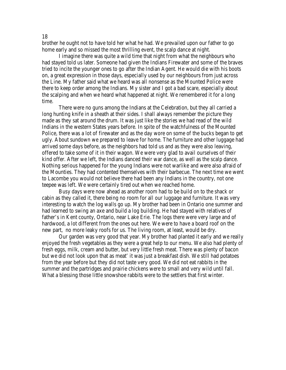brother he ought not to have told her what he had. We prevailed upon our father to go home early and so missed the most thrilling event, the scalp dance at night.

I imagine there was quite a wild time that night from what the neighbours who had stayed told us later. Someone had given the Indians Firewater and some of the braves tried to incite the younger ones to go after the Indian Agent. He would die with his boots on, a great expression in those days, especially used by our neighbours from just across the Line. My father said what we heard was all nonsense as the Mounted Police were there to keep order among the Indians. My sister and I got a bad scare, especially about the scalping and when we heard what happened at night. We remembered it for a long time.

There were no guns among the Indians at the Celebration, but they all carried a long hunting knife in a sheath at their sides. I shall always remember the picture they made as they sat around the drum. It was just like the stories we had read of the wild Indians in the western States years before. In spite of the watchfulness of the Mounted Police, there was a lot of firewater and as the day wore on some of the bucks began to get ugly. About sundown we prepared to leave for home. The furniture and other luggage had arrived some days before, as the neighbors had told us and as they were also leaving, offered to take some of it in their wagon. We were very glad to avail ourselves of their kind offer. After we left, the Indians danced their war dance, as well as the scalp dance. Nothing serious happened for the young Indians were not warlike and were also afraid of the Mounties. They had contented themselves with their barbecue. The next time we went to Lacombe you would not believe there had been any Indians in the country, not one teepee was left. We were certainly tired out when we reached home.

Busy days were now ahead as another room had to be build on to the shack or cabin as they called it, there being no room for all our luggage and furniture. It was very interesting to watch the log walls go up. My brother had been in Ontario one summer and had learned to swing an axe and build a log building. He had stayed with relatives of father's in Kent county, Ontario, near Lake Erie. The logs there were very large and of hardwood, a lot different from the ones out here. We were to have a board roof on the new part, no more leaky roofs for us. The living room, at least, would be dry.

Our garden was very good that year. My brother had planted it early and we really enjoyed the fresh vegetables as they were a great help to our menu. We also had plenty of fresh eggs, milk, cream and butter, but very little fresh meat. There was plenty of bacon but we did not look upon that as meat' it was just a breakfast dish. We still had potatoes from the year before but they did not taste very good. We did not eat rabbits in the summer and the partridges and prairie chickens were to small and very wild until fall. What a blessing those little snowshoe rabbits were to the settlers that first winter.

18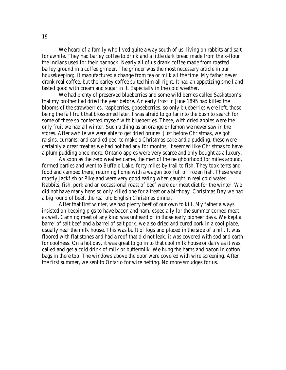We heard of a family who lived quite a way south of us, living on rabbits and salt for awhile. They had barley coffee to drink and a little dark bread made from the x-flour the Indians used for their bannock. Nearly all of us drank coffee made from roasted barley ground in a coffee grinder. The grinder was the most necessary article in our housekeeping;, it manufactured a change from tea or milk all the time. My father never drank real coffee, but the barley coffee suited him all right. It had an appetizing smell and tasted good with cream and sugar in it. Especially in the cold weather.

We had plenty of preserved blueberries and some wild berries called Saskatoon's that my brother had dried the year before. An early frost in June 1895 had killed the blooms of the strawberries, raspberries, gooseberries, so only blueberries were left, those being the fall fruit that blossomed later. I was afraid to go far into the bush to search for some of these so contented myself with blueberries. These, with dried apples were the only fruit we had all winter. Such a thing as an orange or lemon we never saw in the stores. After awhile we were able to get dried prunes. Just before Christmas, we got raisins, currants, and candied peel to make a Christmas cake and a pudding, these were certainly a great treat as we had not had any for months. It seemed like Christmas to have a plum pudding once more. Ontario apples were very scarce and only bought as a luxury.

As soon as the zero weather came, the men of the neighborhood for miles around, formed parties and went to Buffalo Lake, forty miles by trail to fish. They took tents and food and camped there, returning home with a wagon box full of frozen fish. These were mostly Jackfish or Pike and were very good eating when caught in real cold water. Rabbits, fish, pork and an occassional roast of beef were our meat diet for the winter. We did not have many hens so only killed one for a treat or a birthday. Christmas Day we had a big round of beef, the real old English Christmas dinner.

After that first winter, we had plenty beef of our own to kill. My father always insisted on keeping pigs to have bacon and ham, especially for the summer corned meat as well. Canning meat of any kind was unheard of in those early pioneer days. We kept a barrel of salt beef and a barrel of salt pork, we also dried and cured pork in a cool place, usually near the milk house. This was built of logs and placed in the side of a hill. It was floored with flat stones and had a roof that did not leak; it was covered with sod and earth for coolness. On a hot day, it was great to go in to that cool milk house or dairy as it was called and get a cold drink of milk or buttermilk. We hung the hams and bacon in cotton bags in there too. The windows above the door were covered with wire screening. After the first summer, we sent to Ontario for wire netting. No more smudges for us.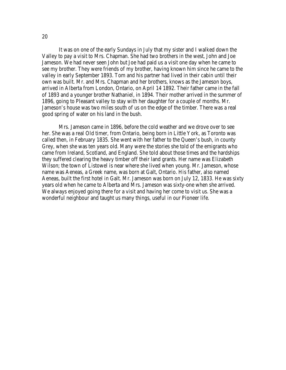It was on one of the early Sundays in July that my sister and I walked down the Valley to pay a visit to Mrs. Chapman. She had two brothers in the west, John and Joe Jameson. We had never seen John but Joe had paid us a visit one day when he came to see my brother. They were friends of my brother, having known him since he came to the valley in early September 1893. Tom and his partner had lived in their cabin until their own was built. Mr. and Mrs. Chapman and her brothers, knows as the Jameson boys, arrived in Alberta from London, Ontario, on April 14 1892. Their father came in the fall of 1893 and a younger brother Nathaniel, in 1894. Their mother arrived in the summer of 1896, going to Pleasant valley to stay with her daughter for a couple of months. Mr. Jameson's house was two miles south of us on the edge of the timber. There was a real good spring of water on his land in the bush.

Mrs. Jameson came in 1896, before the cold weather and we drove over to see her. She was a real Old timer, from Ontario, being born in Little York, as Toronto was called then, in February 1835. She went with her father to the Queen's bush, in county Grey, when she was ten years old. Many were the stories she told of the emigrants who came from Ireland, Scotland, and England. She told about those times and the hardships they suffered clearing the heavy timber off their land grants. Her name was Elizabeth Wilson; the town of Listowel is near where she lived when young. Mr. Jameson, whose name was Aeneas, a Greek name, was born at Galt, Ontario. His father, also named Aeneas, built the first hotel in Galt. Mr. Jameson was born on July 12, 1833. He was sixty years old when he came to Alberta and Mrs. Jameson was sixty-one when she arrived. We always enjoyed going there for a visit and having her come to visit us. She was a wonderful neighbour and taught us many things, useful in our Pioneer life.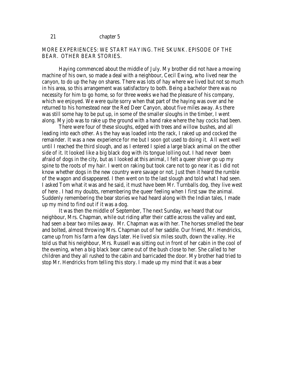# MORE EXPERIENCES: WE START HAYING. THE SKUNK. EPISODE OF THE BEAR. OTHER BEAR STORIES.

Haying commenced about the middle of July. My brother did not have a mowing machine of his own, so made a deal with a neighbour, Cecil Ewing, who lived near the canyon, to do up the hay on shares. There was lots of hay where we lived but not so much in his area, so this arrangement was satisfactory to both. Being a bachelor there was no necessity for him to go home, so for three weeks we had the pleasure of his company, which we enjoyed. We were quite sorry when that part of the haying was over and he returned to his homestead near the Red Deer Canyon, about five miles away. As there was still some hay to be put up, in some of the smaller sloughs in the timber, I went along. My job was to rake up the ground with a hand rake where the hay cocks had been.

There were four of these sloughs, edged with trees and willow bushes, and all leading into each other. As the hay was loaded into the rack, I raked up and cocked the remainder. It was a new experience for me but I soon got used to doing it. All went well until I reached the third slough, and as I entered I spied a large black animal on the other side of it. It looked like a big black dog with its tongue lolling out. I had never been afraid of dogs in the city, but as I looked at this animal, I felt a queer shiver go up my spine to the roots of my hair. I went on raking but took care not to go near it as I did not know whether dogs in the new country were savage or not. Just then it heard the rumble of the wagon and disappeared. I then went on to the last slough and told what I had seen. I asked Tom what it was and he said, it must have been Mr. Turnballs dog, they live west of here . I had my doubts, remembering the queer feeling when I first saw the animal. Suddenly remembering the bear stories we had heard along with the Indian tales, I made up my mind to find out if it was a dog.

It was then the middle of September, The next Sunday, we heard that our neighbour, Mrs. Chapman, while out riding after their cattle across the valley and east, had seen a bear two miles away. Mr. Chapman was with her. The horses smelled the bear and bolted, almost throwing Mrs. Chapman out of her saddle. Our friend, Mr. Hendricks, came up from his farm a few days later. He lived six miles south, down the valley. He told us that his neighbour, Mrs. Russell was sitting out in front of her cabin in the cool of the evening, when a big black bear came out of the bush close to her. She called to her children and they all rushed to the cabin and barricaded the door. My brother had tried to stop Mr. Hendricks from telling this story. I made up my mind that it was a bear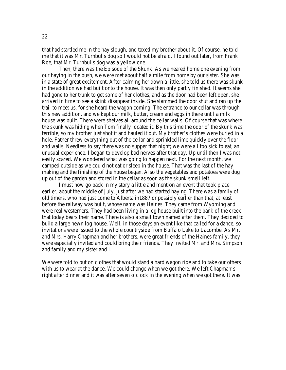that had startled me in the hay slough, and taxed my brother about it. Of course, he told me that it was Mr. Turnbulls dog so I would not be afraid. I found out later, from Frank Roe, that Mr. Turnbulls dog was a yellow one.

Then, there was the Episode of the Skunk. As we neared home one evening from our haying in the bush, we were met about half a mile from home by our sister. She was in a state of great excitement. After calming her down a little, she told us there was skunk in the addition we had built onto the house. It was then only partly finished. It seems she had gone to her trunk to get some of her clothes, and as the door had been left open, she arrived in time to see a skink disappear inside. She slammed the door shut and ran up the trail to meet us, for she heard the wagon coming. The entrance to our cellar was through this new addition, and we kept our milk, butter, cream and eggs in there until a milk house was built. There were shelves all around the cellar walls. Of course that was where the skunk was hiding when Tom finally located it. By this time the odor of the skunk was terrible, so my brother just shot it and hauled it out. My brother's clothes were buried in a hole. Father threw everything out of the cellar and sprinkled lime quickly over the floor and walls. Needless to say there was no supper that night; we were all too sick to eat, an unusual experience. I began to develop bad nerves after that day. Up until then I was not easily scared. We wondered what was going to happen next. For the next month, we camped outside as we could not eat or sleep in the house. That was the last of the hay making and the finishing of the house began. Also the vegetables and potatoes were dug up out of the garden and stored in the cellar as soon as the skunk smell left.

I must now go back in my story a little and mention an event that took place earlier, about the middle of July, just after we had started haying. There was a family of old timers, who had just come to Alberta in1887 or possibly earlier than that, at least before the railway was built, whose name was Haines. They came from Wyoming and were real westerners. They had been living in a log house built into the bank of the creek, that today bears their name. There is also a small town named after them. They decided to build a large hewn log house. Well, in those days an event like that called for a dance, so invitations were issued to the whole countryside from Buffalo Lake to Lacombe. As Mr. and Mrs. Harry Chapman and her brothers, were great friends of the Haines family, they were especially invited and could bring their friends. They invited Mr. and Mrs. Simpson and family and my sister and I.

We were told to put on clothes that would stand a hard wagon ride and to take our others with us to wear at the dance. We could change when we got there. We left Chapman's right after dinner and it was after seven o'clock in the evening when we got there. It was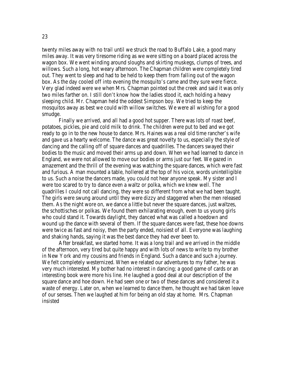twenty miles away with no trail until we struck the road to Buffalo Lake, a good many miles away. It was very tiresome riding as we were sitting on a board placed across the wagon box. We went winding around sloughs and skirting muskegs, clumps of trees, and willows. Such a long, hot weary afternoon. The Chapman children were completely tired out. They went to sleep and had to be held to keep them from falling out of the wagon box. As the day cooled off into evening the mosquito's came and they sure were fierce. Very glad indeed were we when Mrs. Chapman pointed out the creek and said it was only two miles farther on. I still don't know how the ladies stood it, each holding a heavy sleeping child. Mr. Chapman held the oddest Simpson boy. We tried to keep the mosquitos away as best we could with willow switches. We were all wishing for a good smudge.

Finally we arrived, and all had a good hot supper. There was lots of roast beef, potatoes, pickles, pie and cold milk to drink. The children were put to bed and we got ready to go in to the new house to dance. Mrs. Haines was a real old time rancher's wife and gave us a hearty welcome. The dance was great novelty to us, especially the style of dancing and the calling off of square dances and quadrilles. The dancers swayed their bodies to the music and moved their arms up and down. When we had learned to dance in England, we were not allowed to move our bodies or arms just our feet. We gazed in amazement and the thrill of the evening was watching the square dances, which were fast and furious. A man mounted a table, hollered at the top of his voice, words unintelligible to us. Such a noise the dancers made, you could not hear anyone speak. My sister and I were too scared to try to dance even a waltz or polka, which we knew well. The quadrilles I could not call dancing, they were so different from what we had been taught. The girls were swung around until they were dizzy and staggered when the men released them. As the night wore on, we dance a little but never the square dances, just waltzes, the schottisches or polkas. We found them exhilarating enough, even to us young girls who could stand it. Towards daylight, they danced what was called a hoedown and wound up the dance with several of them. If the square dances were fast, these hoe downs were twice as fast and noisy, then the party ended, noisiest of all. Everyone was laughing and shaking hands, saying it was the best dance they had ever been to.

After breakfast, we started home. It was a long trail and we arrived in the middle of the afternoon, very tired but quite happy and with lots of news to write to my brother in New York and my cousins and friends in England. Such a dance and such a journey. We felt completely westernized. When we related our adventures to my father, he was very much interested. My bother had no interest in dancing; a good game of cards or an interesting book were more his line. He laughed a good deal at our description of the square dance and hoe down. He had seen one or two of these dances and considered it a waste of energy. Later on, when we learned to dance them, he thought we had taken leave of our senses. Then we laughed at him for being an old stay at home. Mrs. Chapman insisted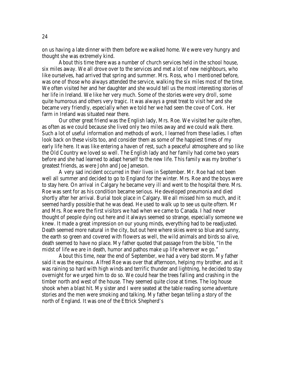on us having a late dinner with them before we walked home. We were very hungry and thought she was extremely kind.

About this time there was a number of church services held in the school house, six miles away. We all drove over to the services and met a lot of new neighbours, who like ourselves, had arrived that spring and summer. Mrs. Ross, who I mentioned before, was one of those who always attended the service, walking the six miles most of the time. We often visited her and her daughter and she would tell us the most interesting stories of her life in Ireland. We like her very much. Some of the stories were very droll, some quite humorous and others very tragic. It was always a great treat to visit her and she became very friendly, especially when we told her we had seen the cove of Cork. Her farm in Ireland was situated near there.

Our other great friend was the English lady, Mrs. Roe. We visited her quite often, as often as we could because she lived only two miles away and we could walk there. Such a lot of useful information and methods of work, I learned from these ladies. I often look back on these visits too, and consider them as some of the happiest times of my early life here. It was like entering a haven of rest, such a peaceful atmosphere and so like the Old Country we loved so well. The English lady and her family had come two years before and she had learned to adapt herself to the new life. This family was my brother's greatest friends, as were John and Joe Jameson.

A very sad incident occurred in their lives in September. Mr. Roe had not been well all summer and decided to go to England for the winter. Mrs. Roe and the boys were to stay here. On arrival in Calgary he became very ill and went to the hospital there. Mrs. Roe was sent for as his condition became serious. He developed pneumonia and died shortly after her arrival. Burial took place in Calgary. We all missed him so much, and it seemed hardly possible that he was dead. He used to walk up to see us quite oftern. Mr and Mrs. Roe were the first visitors we had when we came to Canada. I had never thought of people dying out here and it always seemed so strange, especially someone we knew. It made a great impression on our young minds, everything had to be readjusted. Death seemed more natural in the city, but out here where skies were so blue and sunny, the earth so green and covered with flowers as well, the wild animals and birds so alive, death seemed to have no place. My father quoted that passage from the bible, "In the midst of life we are in death, humor and pathos make up life wherever we go."

About this time, near the end of September, we had a very bad storm. My father said it was the equinox. Alfred Roe was over that afternoon, helping my brother, and as it was raining so hard with high winds and terrific thunder and lightning, he decided to stay overnight for we urged him to do so. We could hear the trees falling and crashing in the timber north and west of the house. They seemed quite close at times. The log house shook when a blast hit. My sister and I were seated at the table reading some adventure stories and the men were smoking and talking. My father began telling a story of the north of England. It was one of the Ettrick Shepherd's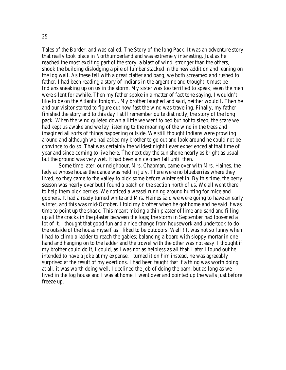Tales of the Border, and was called, The Story of the long Pack. It was an adventure story that really took place in Northumberland and was extremely interesting. Just as he reached the most exciting part of the story, a blast of wind, stronger than the others, shook the building dislodging a pile of lumber stacked in the new addition and leaning on the log wall. As these fell with a great clatter and bang, we both screamed and rushed to father. I had been reading a story of Indians in the argentine and thought it must be Indians sneaking up on us in the storm. My sister was too terrified to speak; even the men were silent for awhile. Then my father spoke in a matter of fact tone saying, I wouldn't like to be on the Atlantic tonight... My brother laughed and said, neither would I. Then he and our visitor started to figure out how fast the wind was traveling. Finally, my father finished the story and to this day I still remember quite distinctly, the story of the long pack. When the wind quieted down a little we went to bed but not to sleep, the scare we had kept us awake and we lay listening to the moaning of the wind in the trees and imagined all sorts of things happening outside. We still thought Indians were prowling around and although we had asked my brother to go out and look around he could not be convince to do so. That was certainly the wildest night I ever experienced at that time of year and since coming to live here. The next day the sun shone nearly as bright as usual but the ground was very wet. It had been a nice open fall until then.

Some time later, our neighbour, Mrs. Chapman, came over with Mrs. Haines, the lady at whose house the dance was held in July. There were no blueberries where they lived, so they came to the valley to pick some before winter set in. By this time, the berry season was nearly over but I found a patch on the section north of us. We all went there to help them pick berries. We noticed a weasel running around hunting for mice and gophers. It had already turned white and Mrs. Haines said we were going to have an early winter, and this was mid-October. I told my brother when he got home and he said it was time to point up the shack. This meant mixing a thin plaster of lime and sand and filling up all the cracks in the plaster between the logs; the storm in September had loosened a lot of it. I thought that good fun and a nice change from housework and undertook to do the outside of the house myself as I liked to be outdoors. Well ! It was not so funny when I had to climb a ladder to reach the gables; balancing a board with sloppy mortar in one hand and hanging on to the ladder and the trowel with the other was not easy. I thought if my brother could do it, I could, as I was not as helpless as all that. Later I found out he intended to have a joke at my expense. I turned it on him instead, he was agreeably surprised at the result of my exertions. I had been taught that if a thing was worth doing at all, it was worth doing well. I declined the job of doing the barn, but as long as we lived in the log house and I was at home, I went over and pointed up the walls just before freeze up.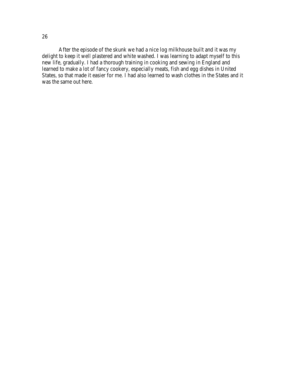After the episode of the skunk we had a nice log milkhouse built and it was my delight to keep it well plastered and white washed. I was learning to adapt myself to this new life, gradually. I had a thorough training in cooking and sewing in England and learned to make a lot of fancy cookery, especially meats, fish and egg dishes in United States, so that made it easier for me. I had also learned to wash clothes in the States and it was the same out here.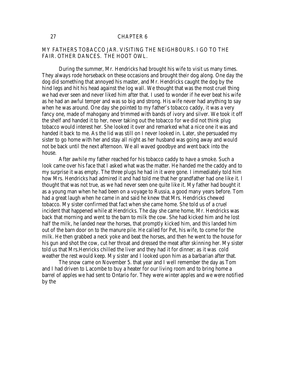### 27 CHAPTER 6

# MY FATHERS TOBACCO JAR. VISITING THE NEIGHBOURS. I GO TO THE FAIR. OTHER DANCES. THE HOOT OWL.

During the summer, Mr. Hendricks had brought his wife to visit us many times. They always rode horseback on these occasions and brought their dog along. One day the dog did something that annoyed his master, and Mr. Hendricks caught the dog by the hind legs and hit his head against the log wall. We thought that was the most cruel thing we had ever seen and never liked him after that. I used to wonder if he ever beat his wife as he had an awful temper and was so big and strong. His wife never had anything to say when he was around. One day she pointed to my father's tobacco caddy, it was a very fancy one, made of mahogany and trimmed with bands of ivory and silver. We took it off the shelf and handed it to her, never taking out the tobacco for we did not think plug tobacco would interest her. She looked it over and remarked what a nice one it was and handed it back to me. As the lid was still on I never looked in. Later, she persuaded my sister to go home with her and stay all night as her husband was going away and would not be back until the next afternoon. We all waved goodbye and went back into the house.

After awhile my father reached for his tobacco caddy to have a smoke. Such a look came over his face that I asked what was the matter. He handed me the caddy and to my surprise it was empty. The three plugs he had in it were gone. I immediately told him how Mrs. Hendricks had admired it and had told me that her grandfather had one like it. I thought that was not true, as we had never seen one quite like it. My father had bought it as a young man when he had been on a voyage to Russia, a good many years before. Tom had a great laugh when he came in and said he knew that Mrs. Hendricks chewed tobacco. My sister confirmed that fact when she came home. She told us of a cruel incident that happened while at Hendricks. The day she came home, Mr. Hendricks was back that morning and went to the barn to milk the cow. She had kicked him and he lost half the milk, he landed near the horses, that promptly kicked him, and this landed him out of the barn door on to the manure pile. He called for Pet, his wife, to come for the milk. He then grabbed a neck yoke and beat the horses, and then he went to the house for his gun and shot the cow, cut her throat and dressed the meat after skinning her. My sister told us that Mrs.Henricks chilled the liver and they had it for dinner; as it was cold weather the rest would keep. My sister and I looked upon him as a barbarian after that.

The snow came on November 5. that year and I well remember the day as Tom and I had driven to Lacombe to buy a heater for our living room and to bring home a barrel of apples we had sent to Ontario for. They were winter apples and we were notified by the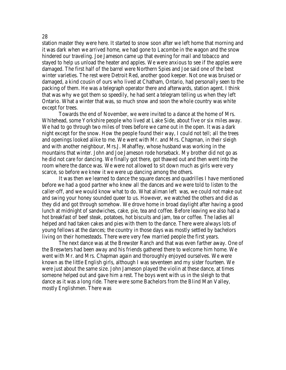station master they were here. It started to snow soon after we left home that morning and it was dark when we arrived home, we had gone to Lacombe in the wagon and the snow hindered our traveling. Joe Jameson came up that evening for mail and tobacco and stayed to help us unload the heater and apples. We were anxious to see if the apples were damaged. The first half of the barrel were Northern Spies and Joe said one of the best winter varieties. The rest were Detroit Red, another good keeper. Not one was bruised or damaged, a kind cousin of ours who lived at Chatham, Ontario, had personally seen to the packing of them. He was a telegraph operator there and afterwards, station agent. I think that was why we got them so speedily, he had sent a telegram telling us when they left Ontario. What a winter that was, so much snow and soon the whole country was white except for trees.

Towards the end of November, we were invited to a dance at the home of Mrs. Whitehead, some Yorkshire people who lived at Lake Side, about five or six miles away. We had to go through two miles of trees before we came out in the open. It was a dark night except for the snow. How the people found their way, I could not tell; all the trees and openings looked alike to me. We went with Mr. and Mrs. Chapman, in their sleigh and with another neighbour, Mrs.J. Mahaffey, whose husband was working in the mountains that winter. John and Joe Jameson rode horseback. My brother did not go as he did not care for dancing. We finally got there, got thawed out and then went into the room where the dance was. We were not allowed to sit down much as girls were very scarce, so before we knew it we were up dancing among the others.

It was then we learned to dance the square dances and quadrilles I have mentioned before we had a good partner who knew all the dances and we were told to listen to the caller-off, and we would know what to do. What aliman left was, we could not make out and swing your honey sounded queer to us. However, we watched the others and did as they did and got through somehow. We drove home in broad daylight after having a good lunch at midnight of sandwiches, cake, pie, tea and coffee. Before leaving we also had a hot breakfast of beef steak, potatoes, hot biscuits and jam, tea or coffee. The ladies all helped and had taken cakes and pies with them to the dance. There were always lots of young fellows at the dances; the country in those days was mostly settled by bachelors living on their homesteads. There were very few married people the first years.

The next dance was at the Brewster Ranch and that was even farther away. One of the Breswters had been away and his friends gathered there to welcome him home. We went with Mr. and Mrs. Chapman again and thoroughly enjoyed ourselves. We were known as the little English girls, although I was seventeen and my sister fourteen. We were just about the same size. John Jameson played the violin at these dance, at times someone helped out and gave him a rest. The boys went with us in the sleigh to that dance as it was a long ride. There were some Bachelors from the Blind Man Valley, mostly Englishmen. There was

#### 28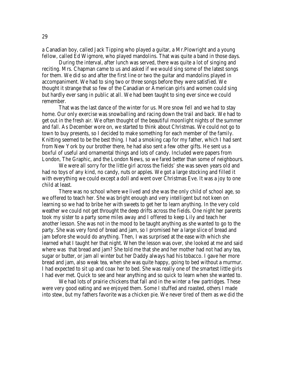a Canadian boy, called Jack Tipping who played a guitar, a Mr.Plowright and a young fellow, called Ed Wigmore, who played mandolins. That was quite a band in those days.

During the interval, after lunch was served, there was quite a lot of singing and reciting. Mrs. Chapman came to us and asked if we would sing some of the latest songs for them. We did so and after the first line or two the guitar and mandolins played in accompaniment. We had to sing two or three songs before they were satisfied. We thought it strange that so few of the Canadian or American girls and women could sing but hardly ever sang in public at all. We had been taught to sing ever since we could remember.

That was the last dance of the winter for us. More snow fell and we had to stay home. Our only exercise was snowballing and racing down the trail and back. We had to get out in the fresh air. We often thought of the beautiful moonlight nights of the summer and fall. As December wore on, we started to think about Christmas. We could not go to town to buy presents, so I decided to make something for each member of the family. Knitting seemed to be the best thing. I had a smoking cap for my father, which I had sent from New York by our brother there, he had also sent a few other gifts. He sent us a boxful of useful and ornamental things and lots of candy. Included were papers from London, The Graphic, and the London News, so we fared better than some of neighbours.

We were all sorry for the little girl across the fields' she was seven years old and had no toys of any kind, no candy, nuts or apples. We got a large stocking and filled it with everything we could except a doll and went over Christmas Eve. It was a joy to one child at least.

There was no school where we lived and she was the only child of school age, so we offered to teach her. She was bright enough and very intelligent but not keen on learning so we had to bribe her with sweets to get her to learn anything. In the very cold weather we could not get throught the deep drifts across the fields. One night her parents took my sister to a party some miles away and I offered to keep Lily and teach her another lesson. She was not in the mood to be taught anything as she wanted to go to the party. She was very fond of bread and jam, so I promised her a large slice of bread and jam before she would do anything. Then, I was surprised at the ease with which she learned what I taught her that night. When the lesson was over, she looked at me and said where was that bread and jam? She told me that she and her mother had not had any tea, sugar or butter, or jam all winter but her Daddy always had his tobacco. I gave her more bread and jam, also weak tea, when she was quite happy, going to bed without a murmur. I had expected to sit up and coax her to bed. She was really one of the smartest little girls I had ever met. Quick to see and hear anything and so quick to learn when she wanted to.

We had lots of prairie chickens that fall and in the winter a few partridges. These were very good eating and we enjoyed them. Some I stuffed and roasted, others I made into stew, but my fathers favorite was a chicken pie. We never tired of them as we did the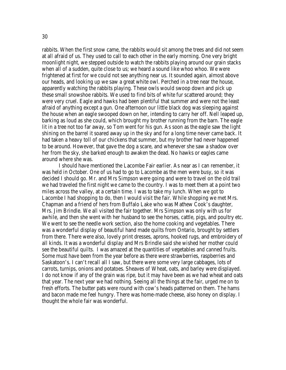rabbits. When the first snow came, the rabbits would sit among the trees and did not seem at all afraid of us. They used to call to each other in the early morning. One very bright moonlight night, we stepped outside to watch the rabbits playing around our grain stacks when all of a sudden, quite close to us; we heard a sound like whoo whoo. We were frightened at first for we could not see anything near us. It sounded again, almost above our heads, and looking up we saw a great white owl. Perched in a tree near the house, apparently watching the rabbits playing. These owls would swoop down and pick up these small snowshoe rabbits. We used to find bits of white fur scattered around; they were very cruel. Eagle and hawks had been plentiful that summer and were not the least afraid of anything except a gun. One afternoon our little black dog was sleeping against the house when an eagle swooped down on her, intending to carry her off. Nell leaped up, barking as loud as she could, which brought my brother running from the barn. The eagle lit in a tree not too far away, so Tom went for his gun. As soon as the eagle saw the light shining on the barrel it soared away up in the sky and for a long time never came back. It had taken a heavy toll of our chickens that summer, but my brother had never happened to be around. However, that gave the dog a scare, and whenever she saw a shadow over her from the sky, she barked enough to awaken the dead. No hawks or eagles came around where she was.

I should have mentioned the Lacombe Fair earlier. As near as I can remember, it was held in October. One of us had to go to Lacombe as the men were busy, so it was decided I should go. Mr. and Mrs Simpson were going and were to travel on the old trail we had traveled the first night we came to the country. I was to meet them at a point two miles across the valley, at a certain time. I was to take my lunch. When we got to Lacombe I had shopping to do, then I would visit the fair. While shopping we met Mrs. Chapman and a friend of hers from Buffalo Lake who was Mathew Cook's daughter, Mrs. Jim Brindle. We all visited the fair together. Mrs Simpson was only with us for awhile, and then she went with her husband to see the horses, cattle, pigs, and poultry etc. We went to see the needle work section, also the home cooking and vegetables. There was a wonderful display of beautiful hand made quilts from Ontario, brought by settlers from there. There were also, lovely print dresses, aprons, hooked rugs, and embroidery of all kinds. It was a wonderful display and Mrs Brindle said she wished her mother could see the beautiful quilts. I was amazed at the quantities of vegetables and canned fruits. Some must have been from the year before as there were strawberries, raspberries and Saskatoon's. I can't recall all I saw, but there were some very large cabbages, lots of carrots, turnips, onions and potatoes. Sheaves of Wheat, oats, and barley were displayed. I do not know if any of the grain was ripe, but it may have been as we had wheat and oats that year. The next year we had nothing. Seeing all the things at the fair, urged me on to fresh efforts. The butter pats were round with cow's heads patterned on them. The hams and bacon made me feel hungry. There was home-made cheese, also honey on display. I thought the whole fair was wonderful.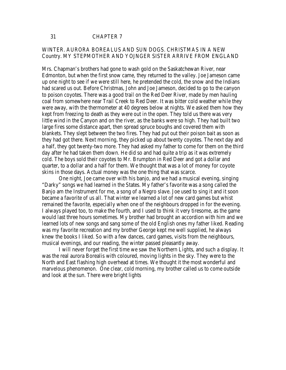### 31 CHAPTER 7

# WINTER. AURORA BOREALUS AND SUN DOGS. CHRISTMAS IN A NEW Country. MY STEPMOTHER AND YOJNGER SISTER ARRIVE FROM ENGLAND

Mrs. Chapman's brothers had gone to wash gold on the Saskatchewan River, near Edmonton, but when the first snow came, they returned to the valley. Joe Jameson came up one night to see if we were still here, he pretended the cold, the snow and the Indians had scared us out. Before Christmas, John and Joe Jameson, decided to go to the canyon to poison coyotes. There was a good trail on the Red Deer River, made by men hauling coal from somewhere near Trail Creek to Red Deer. It was bitter cold weather while they were away, with the thermometer at 40 degrees below at nights. We asked them how they kept from freezing to death as they were out in the open. They told us there was very little wind in the Canyon and on the river, as the banks were so high. They had built two large fires some distance apart, then spread spruce boughs and covered them with blankets. They slept between the two fires. They had put out their poison bait as soon as they had got there. Next morning, they picked up about twenty coyotes. The next day and a half, they got twenty-two more. They had asked my father to come for them on the third day after he had taken them down. He did so and had quite a trip as it was extremely cold. The boys sold their coyotes to Mr. Brumpton in Red Deer and got a dollar and quarter, to a dollar and a half for them. We thought that was a lot of money for coyote skins in those days. Actual money was the one thing that was scarce.

One night, Joe came over with his banjo, and we had a musical evening, singing "Darky" songs we had learned in the States. My father's favorite was a song called the Banjo am the Instrument for me, a song of a Negro slave. Joe used to sing it and it soon became a favorite of us all. That winter we learned a lot of new card games but whist remained the favorite, especially when one of the neighbours dropped in for the evening. I always played too, to make the fourth, and I used to think it very tiresome, as the game would last three hours sometimes. My brother had brought an accordion with him and we learned lots of new songs and sang some of the old English ones my father liked. Reading was my favorite recreation and my brother George kept me well supplied, he always knew the books I liked. So with a few dances, card games, visits from the neighbours, musical evenings, and our reading, the winter passed pleasantly away.

I will never forget the first time we saw the Northern Lights, and such a display. It was the real aurora Borealis with coloured, moving lights in the sky. They were to the North and East flashing high overhead at times. We thought it the most wonderful and marvelous phenomenon. One clear, cold morning, my brother called us to come outside and look at the sun. There were bright lights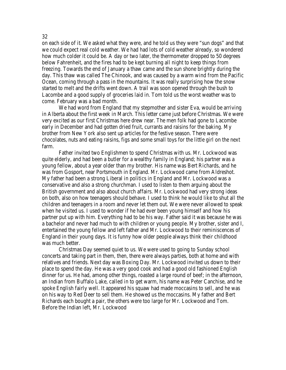on each side of it. We asked what they were, and he told us they were "sun dogs" and that we could expect real cold weather. We had had lots of cold weather already, so wondered how much colder it could be. A day or two later, the thermometer dropped to 50 degrees below Fahrenheit, and the fires had to be kept burning all night to keep things from freezing. Towards the end of January a thaw came and the sun shone brightly during the day. This thaw was called The Chinook, and was caused by a warm wind from the Pacific Ocean, coming through a pass in the mountains. It was really surprising how the snow started to melt and the drifts went down. A trail was soon opened through the bush to Lacombe and a good supply of groceries laid in. Tom told us the worst weather was to come. February was a bad month.

We had word from England that my stepmother and sister Eva, would be arriving in Alberta about the first week in March. This letter came just before Christmas. We were very excited as our first Christmas here drew near. The men folk had gone to Lacombe early in December and had gotten dried fruit, currants and raisins for the baking. My brother from New York also sent up articles for the festive season. There were chocolates, nuts and eating raisins, figs and some small toys for the little girl on the next farm.

Father invited two Englishmen to spend Christmas with us. Mr. Lockwood was quite elderly, and had been a butler for a wealthy family in England; his partner was a young fellow, about a year older than my brother. His name was Bert Richards, and he was from Gosport, near Portsmouth in England. Mr. Lockwood came from Aldreshot. My father had been a strong Liberal in politics in England and Mr. Lockwood was a conservative and also a strong churchman. I used to listen to them arguing about the British government and also about church affairs. Mr. Lockwood had very strong ideas on both, also on how teenagers should behave. I used to think he would like to shut all the children and teenagers in a room and never let them out. We were never allowed to speak when he visited us. I used to wonder if he had ever been young himself and how his partner put up with him. Everything had to be his way. Father said it was because he was a bachelor and never had much to with children or young people. My brother, sister and I, entertained the young fellow and left father and Mr. Lockwood to their reminiscences of England in their young days. It is funny how older people always think their childhood was much better.

Christmas Day seemed quiet to us. We were used to going to Sunday school concerts and taking part in them, then, there were always parties, both at home and with relatives and friends. Next day was Boxing Day. Mr. Lockwood invited us down to their place to spend the day. He was a very good cook and had a good old fashioned English dinner for us. He had, among other things, roasted a large round of beef; in the afternoon, an Indian from Buffalo Lake, called in to get warm, his name was Peter Canchise, and he spoke English fairly well. It appeared his squaw had made moccasins to sell, and he was on his way to Red Deer to sell them. He showed us the moccasins. My father and Bert Richards each bought a pair, the others were too large for Mr. Lockwood and Tom. Before the Indian left, Mr. Lockwood

#### 32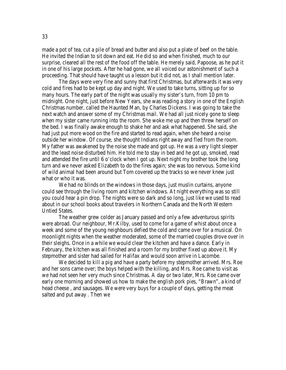made a pot of tea, cut a pile of bread and butter and also put a plate of beef on the table. He invited the Indian to sit down and eat. He did so and when finished, much to our surprise, cleared all the rest of the food off the table. He merely said, Papoose, as he put it in one of his large pockets. After he had gone, we all voiced our astonishment of such a proceeding. That should have taught us a lesson but it did not, as I shall mention later.

The days were very fine and sunny that first Christmas, but afterwards it was very cold and fires had to be kept up day and night. We used to take turns, sitting up for so many hours. The early part of the night was usually my sister's turn, from 10 pm to midnight. One night, just before New Years, she was reading a story in one of the English Christmas number, called the Haunted Man, by Charles Dickens. I was going to take the next watch and answer some of my Christmas mail. We had all just nicely gone to sleep when my sister came running into the room. She woke me up and then threw herself on the bed. I was finally awake enough to shake her and ask what happened. She said, she had just put more wood on the fire and started to read again, when she heard a noise outside her window. Of course, she thought Indians right away and fled from the room. My father was awakened by the noise she made and got up. He was a very light sleeper and the least noise disturbed him. He told me to stay in bed and he got up, smoked, read and attended the fire until 6 o'clock when I got up. Next night my brother took the long turn and we never asked Elizabeth to do the fires again; she was too nervous. Some kind of wild animal had been around but Tom covered up the tracks so we never knew just what or who it was.

We had no blinds on the windows in those days, just muslin curtains, anyone could see through the living room and kitchen windows. At night everything was so still you could hear a pin drop. The nights were so dark and so long, just like we used to read about in our school books about travelers in Northern Canada and the North Western Untied States.

The weather grew colder as January passed and only a few adventurous spirits were abroad. Our neighbour, Mr.Kilby, used to come for a game of whist about once a week and some of the young neighbours defied the cold and came over for a musical. On moonlight nights when the weather moderated, some of the married couples drove over in their sleighs. Once in a while we would clear the kitchen and have a dance. Early in February, the kitchen was all finished and a room for my brother fixed up above it. My stepmother and sister had sailed for Halifax and would soon arrive in Lacombe.

We decided to kill a pig and have a party before my stepmother arrived. Mrs. Roe and her sons came over; the boys helped with the killing, and Mrs. Roe came to visit as we had not seen her very much since Christmas. A day or two later, Mrs. Roe came over early one morning and showed us how to make the english pork pies, "Brawn", a kind of head cheese , and sausages. We were very buys for a couple of days, getting the meat salted and put away . Then we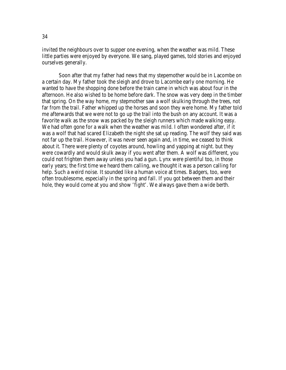invited the neighbours over to supper one evening, when the weather was mild. These little parties were enjoyed by everyone. We sang, played games, told stories and enjoyed ourselves generally.

Soon after that my father had news that my stepemother would be in Lacombe on a certain day. My father took the sleigh and drove to Lacombe early one morning. He wanted to have the shopping done before the train came in which was about four in the afternoon. He also wished to be home before dark. The snow was very deep in the timber that spring. On the way home, my stepmother saw a wolf skulking through the trees, not far from the trail. Father whipped up the horses and soon they were home. My father told me afterwards that we were not to go up the trail into the bush on any account. It was a favorite walk as the snow was packed by the sleigh runners which made walking easy. We had often gone for a walk when the weather was mild. I often wondered after, if it was a wolf that had scared Elizabeth the night she sat up reading. The wolf they said was not far up the trail. However, it was never seen again and, in time, we ceased to think about it. There were plenty of coyotes around, howling and yapping at night. but they were cowardly and would skulk away if you went after them. A wolf was different, you could not frighten them away unless you had a gun. Lynx were plentiful too, in those early years; the first time we heard them calling, we thought it was a person calling for help. Such a weird noise. It sounded like a human voice at times. Badgers, too, were often troublesome, especially in the spring and fall. If you got between them and their hole, they would come at you and show 'fight'. We always gave them a wide berth.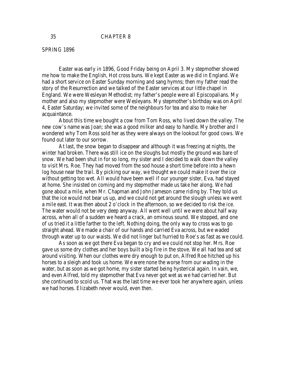#### 35 CHAPTER 8

#### SPRING 1896

Easter was early in 1896, Good Friday being on April 3. My stepmother showed me how to make the English, Hot cross buns. We kept Easter as we did in England. We had a short service on Easter Sunday morning and sang hymns; then my father read the story of the Resurrection and we talked of the Easter services at our little chapel in England. We were Wesleyan Methodist; my father's people were all Episcopalians. My mother and also my stepmother were Wesleyans. My stepmother's birthday was on April 4, Easter Saturday; we invited some of the neighbours for tea and also to make her acquaintance.

About this time we bought a cow from Tom Ross, who lived down the valley. The new cow's name was Joan; she was a good milker and easy to handle. My brother and I wondered why Tom Ross sold her as they were always on the lookout for good cows. We found out later to our sorrow.

At last, the snow began to disappear and although it was freezing at nights, the winter had broken. There was still ice on the sloughs but mostly the ground was bare of snow. We had been shut in for so long, my sister and I decided to walk down the valley to visit Mrs. Roe. They had moved from the sod house a short time before into a hewn log house near the trail. By picking our way, we thought we could make it over the ice without getting too wet. All would have been well if our younger sister, Eva, had stayed at home. She insisted on coming and my stepmother made us take her along. We had gone about a mile, when Mr. Chapman and John Jameson came riding by. They told us that the ice would not bear us up, and we could not get around the slough unless we went a mile east. It was then about 2 o'clock in the afternoon, so we decided to risk the ice. The water would not be very deep anyway. All went well until we were about half way across, when all of a sudden we heard a crack, an ominous sound. We stopped, and one of us tried it a little farther to the left. Nothing doing, the only way to cross was to go straight ahead. We made a chair of our hands and carried Eva across, but we waded through water up to our waists. We did not linger but hurried to Roe's as fast as we could.

As soon as we got there Eva began to cry and we could not stop her. Mrs. Roe gave us some dry clothes and her boys built a big fire in the stove. We all had tea and sat around visiting. When our clothes were dry enough to put on, Alfred Roe hitched up his horses to a sleigh and took us home. We were none the worse from our wading in the water, but as soon as we got home, my sister started being hysterical again. In vain, we, and even Alfred, told my stepmother that Eva never got wet as we had carried her. But she continued to scold us. That was the last time we ever took her anywhere again, unless we had horses. Elizabeth never would, even then.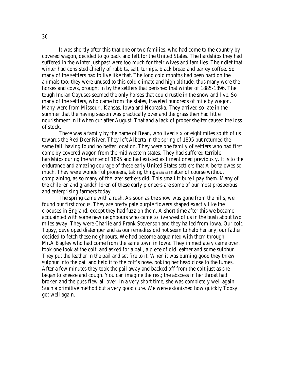It was shortly after this that one or two families, who had come to the country by covered wagon, decided to go back and left for the United States. The hardships they had suffered in the winter just past were too much for their wives and families. Their diet that winter had consisted chiefly of rabbits, salt, turnips, black bread and barley coffee. So many of the settlers had to live like that. The long cold months had been hard on the animals too; they were unused to this cold climate and high altitude, thus many were the horses and cows, brought in by the settlers that perished that winter of 1885-1896. The tough Indian Cayuses seemed the only horses that could rustle in the snow and live. So many of the settlers, who came from the states, traveled hundreds of mile by wagon. Many were from Missouri, Kansas, Iowa and Nebraska. They arrived so late in the summer that the haying season was practically over and the grass then had little nourishment in it when cut after August. That and a lack of proper shelter caused the loss of stock.

There was a family by the name of Bean, who lived six or eight miles south of us towards the Red Deer River. They left Alberta in the spring of 1895 but returned the same fall, having found no better location. They were one family of settlers who had first come by covered wagon from the mid western states. They had suffered terrible hardships during the winter of 1895 and had existed as I mentioned previously. It is to the endurance and amazing courage of these early United States settlers that Alberta owes so much. They were wonderful pioneers, taking things as a matter of course without complaining, as so many of the later settlers did. This small tribute I pay them. Many of the children and grandchildren of these early pioneers are some of our most prosperous and enterprising farmers today.

The spring came with a rush. As soon as the snow was gone from the hills, we found our first crocus. They are pretty pale purple flowers shaped exactly like the crocuses in England, except they had fuzz on them. A short time after this we became acquainted with some new neighbours who came to live west of us in the bush about two miles away. They were Charlie and Frank Stevenson and they hailed from Iowa. Our colt, Topsy, developed distemper and as our remedies did not seem to help her any, our father decided to fetch these neighbours. We had become acquainted with them through Mr.A.Bagley who had come from the same town in Iowa. They immediately came over, took one look at the colt, and asked for a pail, a piece of old leather and some sulphur. They put the leather in the pail and set fire to it. When it was burning good they threw sulphur into the pail and held it to the colt's nose, poking her head close to the fumes. After a few minutes they took the pail away and backed off from the colt just as she began to sneeze and cough. You can imagine the rest; the abscess in her throat had broken and the puss flew all over. In a very short time, she was completely well again. Such a primitive method but a very good cure. We were astonished how quickly Topsy got well again.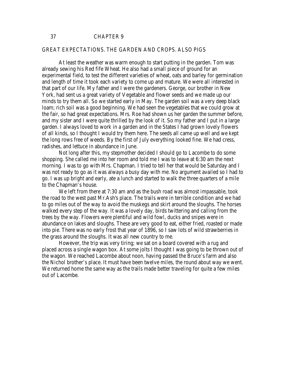#### GREAT EXPECTATIONS. THE GARDEN AND CROPS. ALSO PIGS

At least the weather was warm enough to start putting in the garden. Tom was already sewing his Red fife Wheat. He also had a small piece of ground for an experimental field, to test the different varieties of wheat, oats and barley for germination and length of time it took each variety to come up and mature. We were all interested in that part of our life. My father and I were the gardeners. George, our brother in New York, had sent us a great variety of Vegetable and flower seeds and we made up our minds to try them all. So we started early in May. The garden soil was a very deep black loam; rich soil was a good beginning. We had seen the vegetables that we could grow at the fair, so had great expectations. Mrs. Roe had shown us her garden the summer before, and my sister and I were quite thrilled by the look of it. So my father and I put in a large garden. I always loved to work in a garden and in the States I had grown lovely flowers of all kinds, so I thought I would try them here. The seeds all came up well and we kept the long rows free of weeds. By the first of July everything looked fine. We had cress, radishes, and lettuce in abundance in June.

Not long after this, my stepmother decided I should go to Lacombe to do some shopping. She called me into her room and told me I was to leave at 6:30 am the next morning. I was to go with Mrs. Chapman. I tried to tell her that would be Saturday and I was not ready to go as it was always a busy day with me. No argument availed so I had to go. I was up bright and early, ate a lunch and started to walk the three quarters of a mile to the Chapman's house.

We left from there at 7:30 am and as the bush road was almost impassable, took the road to the west past Mr.Ash's place. The trails were in terrible condition and we had to go miles out of the way to avoid the muskegs and skirt around the sloughs. The horses walked every step of the way. It was a lovely day, birds twittering and calling from the trees by the way. Flowers were plentiful and wild fowl, ducks and snipes were in abundance on lakes and sloughs. These are very good to eat, either fried, roasted or made into pie. There was no early frost that year of 1896, so I saw lots of wild strawberries in the grass around the sloughs. It was all new country to me.

However, the trip was very tiring; we sat on a board covered with a rug and placed across a single wagon box. At some jolts I thought I was going to be thrown out of the wagon. We reached Lacombe about noon, having passed the Bruce's farm and also the Nichol brother's place. It must have been twelve miles, the round about way we went. We returned home the same way as the trails made better traveling for quite a few miles out of Lacombe.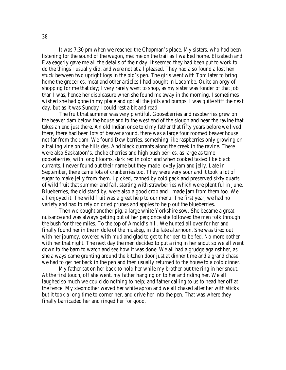It was 7:30 pm when we reached the Chapman's place. My sisters, who had been listening for the sound of the wagon, met me on the trail as I walked home. Elizabeth and Eva eagerly gave me all the details of their day. It seemed they had been put to work to do the things I usually did, and were not at all pleased. They had also found a lost hen stuck between two upright logs in the pig's pen. The girls went with Tom later to bring home the groceries, meat and other articles I had bought in Lacombe. Quite an orgy of shopping for me that day; I very rarely went to shop, as my sister was fonder of that job than I was, hence her displeasure when she found me away in the morning. I sometimes wished she had gone in my place and got all the jolts and bumps. I was quite stiff the next day, but as it was Sunday I could rest a bit and read.

The fruit that summer was very plentiful. Gooseberries and raspberries grew on the beaver dam below the house and to the west end of the slough and near the ravine that takes an end just there. An old Indian once told my father that fifty years before we lived there, there had been lots of beaver around, there was a large four roomed beaver house not far from the dam. We found Dew berries, something like raspberries only growing on a trailing vine on the hillsides. And black currants along the creek in the ravine. There were also Saskatoon's, choke cherries and high bush berries, as large as tame gooseberries, with long blooms, dark red in color and when cooked tasted like black currants. I never found out their name but they made lovely jam and jelly. Late in September, there came lots of cranberries too. They were very sour and it took a lot of sugar to make jelly from them. I picked, canned by cold pack and preserved sixty quarts of wild fruit that summer and fall, starting with strawberries which were plentiful in June. Blueberries, the old stand by, were also a good crop and I made jam from them too. We all enjoyed it. The wild fruit was a great help to our menu. The first year, we had no variety and had to rely on dried prunes and apples to help out the blueberries.

Then we bought another pig, a large white Yorkshire sow. She became a great nuisance and was always getting out of her pen; once she followed the men folk through the bush for three miles. To the top of Arnold's hill. We hunted all over for her and finally found her in the middle of the muskeg, in the late afternoon. She was tired out with her journey, covered with mud and glad to get to her pen to be fed. No more bother with her that night. The next day the men decided to put a ring in her snout so we all went down to the barn to watch and see how it was done. We all had a grudge against her, as she always came grunting around the kitchen door just at dinner time and a grand chase we had to get her back in the pen and then usually returned to the house to a cold dinner.

My father sat on her back to hold her while my brother put the ring in her snout. At the first touch, off she went. my father hanging on to her and riding her. We all laughed so much we could do nothing to help; and father calling to us to head her off at the fence. My stepmother waved her white apron and we all chased after her with sticks but it took a long time to corner her, and drive her into the pen. That was where they finally barricaded her and ringed her for good.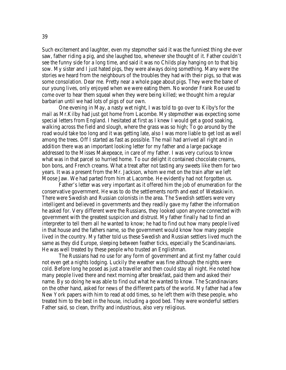Such excitement and laughter, even my stepmother said it was the funniest thing she ever saw, father riding a pig, and she laughed too, whenever she thought of it. Father couldn't see the funny side for a long time, and said it was no Childs play hanging on to that big sow. My sister and I just hated pigs, they were always doing something. Many were the stories we heard from the neighbours of the troubles they had with their pigs, so that was some consolation. Dear me. Pretty near a whole page about pigs. They were the bane of our young lives, only enjoyed when we were eating them. No wonder Frank Roe used to come over to hear them squeal when they were being killed; we thought him a regular barbarian until we had lots of pigs of our own.

One evening in May, a nasty wet night, I was told to go over to Kilby's for the mail as Mr.Kilby had just got home from Lacombe. My stepmother was expecting some special letters from England. I hesitated at first as I knew I would get a good soaking, walking across the field and slough, where the grass was so high; To go around by the road would take too long and it was getting late, also I was more liable to get lost as well among the trees. Off I started as fast as possible. The mail had arrived all right and in addition there was an important looking letter for my father and a large package addressed to the Misses Makepeace, in care of my father. I was very curious to know what was in that parcel so hurried home. To our delight it contained chocolate creams, bon bons, and French creams. What a treat after not tasting any sweets like them for two years. It was a present from the Mr. Jackson, whom we met on the train after we left Moose Jaw. We had parted from him at Lacombe. He evidently had not forgotten us.

Father's letter was very important as it offered him the job of enumeration for the conservative government. He was to do the settlements north and east of Wetaskiwin. There were Swedish and Russian colonists in the area. The Swedish settlers were very intelligent and believed in governments and they readily gave my father the information he asked for. Very different were the Russians, they looked upon anyone connected with government with the greatest suspicion and distrust. My father finally had to find an interpreter to tell them all he wanted to know; he had to find out how many people lived in that house and the fathers name, so the government would know how many people lived in the country. My father told us these Swedish and Russian settlers lived much the same as they did Europe, sleeping between feather ticks, especially the Scandinavians. He was well treated by these people who trusted an Englishman.

The Russians had no use for any form of government and at first my father could not even get a nights lodging. Luckily the weather was fine although the nights were cold. Before long he posed as just a traveller and then could stay all night. He noted how many people lived there and next morning after breakfast, paid them and asked their name. By so doing he was able to find out what he wanted to know. The Scandinavians on the other hand, asked for news of the different parts of the world. My father had a few New York papers with him to read at odd times, so he left them with these people, who treated him to the best in the house, including a good bed. They were wonderful settlers Father said, so clean, thrifty and industrious, also very religious.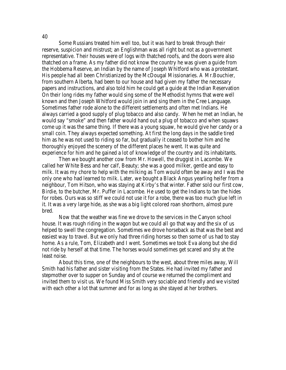Some Russians treated him well too, but it was hard to break through their reserve, suspicion and mistrust; an Englishman was all right but not as a government representative. Their houses were of logs with thatched roofs, and the doors were also thatched on a frame. As my father did not know the country he was given a guide from the Hobbema Reserve, an Indian by the name of Joseph Whitford who was a protestant. His people had all been Christianized by the McDougal Missionaries. A Mr.Bouchier, from southern Alberta, had been to our house and had given my father the necessary papers and instructions, and also told him he could get a guide at the Indian Reservation On their long rides my father would sing some of the Methodist hymns that were well known and then Joseph Whitford would join in and sing them in the Cree Language. Sometimes father rode alone to the different settlements and often met Indians. He always carried a good supply of plug tobacco and also candy. When he met an Indian, he would say "smoke" and then father would hand out a plug of tobacco and when squaws come up it was the same thing. If there was a young squaw, he would give her candy or a small coin. They always expected something. At first the long days in the saddle tired him as he was not used to riding so far, but gradually it ceased to bother him and he thoroughly enjoyed the scenery of the different places he went. It was quite and experience for him and he gained a lot of knowledge of the country and its inhabitants.

Then we bought another cow from Mr. Howell, the druggist in Lacombe. We called her White Bess and her calf, Beauty; she was a good milker, gentle and easy to milk. It was my chore to help with the milking as Tom would often be away and I was the only one who had learned to milk. Later, we bought a Black Angus yearling heifer from a neighbour, Tom Hitson, who was staying at Kirby's that winter. Father sold our first cow, Birdie, to the butcher, Mr. Puffer in Lacombe. He used to get the Indians to tan the hides for robes. Ours was so stiff we could not use it for a robe, there was too much glue left in it. It was a very large hide, as she was a big light colored roan shorthorn, almost pure bred.

Now that the weather was fine we drove to the services in the Canyon school house. It was rough riding in the wagon but we could all go that way and the six of us helped to swell the congregation. Sometimes we drove horseback as that was the best and easiest way to travel. But we only had three riding horses so then some of us had to stay home. As a rule, Tom, Elizabeth and I went. Sometimes we took Eva along but she did not ride by herself at that time. The horses would sometimes get scared and shy at the least noise.

About this time, one of the neighbours to the west, about three miles away, Will Smith had his father and sister visiting from the States. He had invited my father and stepmother over to supper on Sunday and of course we returned the compliment and invited them to visit us. We found Miss Smith very sociable and friendly and we visited with each other a lot that summer and for as long as she stayed at her brothers.

40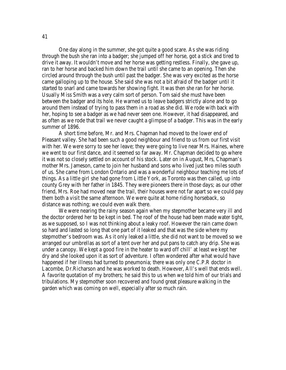One day along in the summer, she got quite a good scare. As she was riding through the bush she ran into a badger; she jumped off her horse, got a stick and tired to drive it away. It wouldn't move and her horse was getting restless. Finally, she gave up, ran to her horse and backed him down the trail until she came to an opening. Then she circled around through the bush until past the badger. She was very excited as the horse came galloping up to the house. She said she was not a bit afraid of the badger until it started to snarl and came towards her showing fight. It was then she ran for her horse. Usually Miss Smith was a very calm sort of person. Tom said she must have been between the badger and its hole. He warned us to leave badgers strictly alone and to go around them instead of trying to pass them in a road as she did. We rode with back with her, hoping to see a badger as we had never seen one. However, it had disappeared, and as often as we rode that trail we never caught a glimpse of a badger. This was in the early summer of 1896.

A short time before, Mr. and Mrs. Chapman had moved to the lower end of Pleasant valley. She had been such a good neighbour and friend to us from our first visit with her. We were sorry to see her leave; they were going to live near Mrs. Haines, where we went to our first dance, and it seemed so far away. Mr. Chapman decided to go where it was not so closely settled on account of his stock. Later on in August, Mrs, Chapman's mother Mrs. Jameson, came to join her husband and sons who lived just two miles south of us. She came from London Ontario and was a wonderful neighbour teaching me lots of things. As a little girl she had gone from Little York, as Toronto was then called, up into county Grey with her father in 1845. They were pioneers there in those days; as our other friend, Mrs. Roe had moved near the trail, their houses were not far apart so we could pay them both a visit the same afternoon. We were quite at home riding horseback, so distance was nothing; we could even walk there.

We were nearing the rainy season again when my stepmother became very ill and the doctor ordered her to be kept in bed. The roof of the house had been made water tight, as we supposed, so I was not thinking about a leaky roof. However the rain came down so hard and lasted so long that one part of it leaked and that was the side where my stepmother's bedroom was. As it only leaked a little, she did not want to be moved so we arranged our umbrellas as sort of a tent over her and put pans to catch any drip. She was under a canopy. We kept a good fire in the heater to ward off chill' at least we kept her dry and she looked upon it as sort of adventure. I often wondered after what would have happened if her illness had turned to pneumonia; there was only one C.P.R doctor in Lacombe, Dr.Richarson and he was worked to death. However, All's well that ends well. A favorite quotation of my brothers; he said this to us when we told him of our trials and tribulations. My stepmother soon recovered and found great pleasure walking in the garden which was coming on well, especially after so much rain.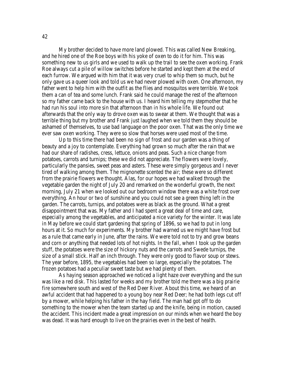My brother decided to have more land plowed. This was called New Breaking, and he hired one of the Roe boys with his yoke of oxen to do it for him. This was something new to us girls and we used to walk up the trail to see the oxen working. Frank Roe always cut a pile of willow switches before he started and kept them at the end of each furrow. We argued with him that it was very cruel to whip them so much, but he only gave us a queer look and told us we had never plowed with oxen. One afternoon, my father went to help him with the outfit as the flies and mosquitos were terrible. We took them a can of tea and some lunch. Frank said he could manage the rest of the afternoon so my father came back to the house with us. I heard him telling my stepmother that he had run his soul into more sin that afternoon than in his whole life. We found out afterwards that the only way to drove oxen was to swear at them. We thought that was a terrible thing but my brother and Frank just laughed when we told them they should be ashamed of themselves, to use bad language on the poor oxen. That was the only time we ever saw oxen working. They were so slow that horses were used most of the time.

Up to this time there had been no sign of frost and our garden was a thing of beauty and a joy to contemplate. Everything had grown so much after the rain that we had our share of radishes, cress, lettuce, onions and peas. Such a nice change from potatoes, carrots and turnips; these we did not appreciate. The flowers were lovely, particularly the pansies, sweet peas and asters. These were simply gorgeous and I never tired of walking among them. The mignonette scented the air; these were so different from the prairie flowers we thought. Alas, for our hopes we had walked through the vegetable garden the night of July 20 and remarked on the wonderful growth, the next morning, July 21 when we looked out our bedroom window there was a white frost over everything. An hour or two of sunshine and you could not see a green thing left in the garden. The carrots, turnips, and potatoes were as black as the ground. What a great disappointment that was. My father and I had spent a great deal of time and care, especially among the vegetables, and anticipated a nice variety for the winter. It was late in May before we could start gardening that spring of 1896, so we had to put in long hours at it. So much for experiments. My brother had warned us we might have frost but as a rule that came early in June, after the rains. We were told not to try and grow beans and corn or anything that needed lots of hot nights. In the fall, when I took up the garden stuff, the potatoes were the size of hickory nuts and the carrots and Swede turnips, the size of a small stick. Half an inch through. They were only good to flavor soup or stews. The year before, 1895, the vegetables had been so large, especially the potatoes. The frozen potatoes had a peculiar sweet taste but we had plenty of them.

As haying season approached we noticed a light haze over everything and the sun was like a red disk. This lasted for weeks and my brother told me there was a big prairie fire somewhere south and west of the Red Deer River. About this time, we heard of an awful accident that had happened to a young boy near Red Deer; he had both legs cut off by a mower, while helping his father in the hay field. The man had got off to do something to the mower when the team started up and the knife, being in motion, caused the accident. This incident made a great impression on our minds when we heard the boy was dead. It was hard enough to live on the prairies even in the best of health.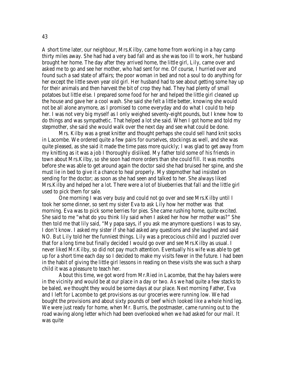A short time later, our neighbour, Mrs.Kilby, came home from working in a hay camp thirty miles away. She had had a very bad fall and as she was too ill to work, her husband brought her home. The day after they arrived home, the little girl, Lily, came over and asked me to go and see her mother, who had sent for me. Of course, I hurried over and found such a sad state of affairs; the poor woman in bed and not a soul to do anything for her except the little seven year old girl. Her husband had to see about getting some hay up for their animals and then harvest the bit of crop they had. They had plenty of small potatoes but little else. I prepared some food for her and helped the little girl cleaned up the house and gave her a cool wash. She said she felt a little better, knowing she would not be all alone anymore, as I promised to come everyday and do what I could to help her. I was not very big myself as I only weighed seventy-eight pounds, but I knew how to do things and was sympathetic. That helped a lot she said. When I got home and told my stepmother, she said she would walk over the next day and see what could be done.

Mrs. Kilby was a great knitter and thought perhaps she could sell hand knit socks in Lacombe. We ordered quite a few pairs for ourselves, stockings as well, and she was quite pleased, as she said it made the time pass more quickly; I was glad to get away from my knitting as it was a job I thoroughly disliked. My father told some of his friends in town about Mrs.Kilby, so she soon had more orders than she could fill. It was months before she was able to get around again the doctor said she had bruised her spine, and she must lie in bed to give it a chance to heal properly. My stepmother had insisted on sending for the doctor; as soon as she had seen and talked to her. She always liked Mrs.Kilby and helped her a lot. There were a lot of blueberries that fall and the little girl used to pick them for sale.

One morning I was very busy and could not go over and see Mrs.Kilby until I took her some dinner, so sent my sister Eva to ask Lily how her mother was that morning. Eva was to pick some berries for pies. She came rushing home, quite excited. She said to me "what do you think lily said when I asked her how her mother was?" She then told me that lily said, "My papa says, if you ask me anymore questions I was to say, I don't know. I asked my sister if she had asked any questions and she laughed and said NO. But Lily told her the funniest things. Lily was a precocious child and I puzzled over that for a long time but finally decided I would go over and see Mrs.Kilby as usual. I never liked Mr.Kilby, so did not pay much attention. Eventually his wife was able to get up for a short time each day so I decided to make my visits fewer in the future. I had been in the habit of giving the little girl lessons in reading on these visits she was such a sharp child it was a pleasure to teach her.

About this time, we got word from Mr.Ried in Lacombe, that the hay balers were in the vicinity and would be at our place in a day or two. As we had quite a few stacks to be baled, we thought they would be some days at our place. Next morning Father, Eva and I left for Lacombe to get provisions as our groceries were running low. We had bought the provisions and about sixty pounds of beef which looked like a whole hind leg. We were just ready for home, when Mr. Burris, the postmaster, came running out to the road waving along letter which had been overlooked when we had asked for our mail. It was quite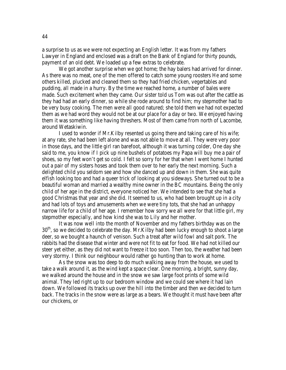a surprise to us as we were not expecting an English letter. It was from my fathers Lawyer in England and enclosed was a draft on the Bank of England for thirty pounds, payment of an old debt. We loaded up a few extras to celebrate.

We got another surprise when we got home; the hay balers had arrived for dinner. As there was no meat, one of the men offered to catch some young roosters He and some others killed, plucked and cleaned them so they had fried chicken, vegertables and pudding, all made in a hurry. By the time we reached home, a number of bales were made. Such excitement when they came. Our sister told us Tom was out after the cattle as they had had an early dinner, so while she rode around to find him; my stepmother had to be very busy cooking. The men were all good natured; she told them we had not expected them as we had word they would not be at our place for a day or two. We enjoyed having them it was something like having threshers. Most of them came from north of Lacombe, around Wetaskiwin.

I used to wonder if Mr.Kilby resented us going there and taking care of his wife; at any rate, she had been left alone and was not able to move at all. They were very poor in those days, and the little girl ran barefoot, although it was turning colder, One day she said to me, you know if I pick up nine bushels of potatoes my Papa will buy me a pair of shoes, so my feet won't get so cold. I felt so sorry for her that when I went home I hunted out a pair of my sisters hoses and took them over to her early the next morning. Such a delighted child you seldom see and how she danced up and down in them. She was quite elfish looking too and had a queer trick of looking at you sideways. She turned out to be a beautiful woman and married a wealthy mine owner in the BC mountains. Being the only child of her age in the district, everyone noticed her. We intended to see that she had a good Christmas that year and she did. It seemed to us, who had been brought up in a city and had lots of toys and amusements when we were tiny tots, that she had an unhappy narrow life for a child of her age. I remember how sorry we all were for that little girl, my stepmother especially, and how kind she was to Lily and her mother.

It was now well into the month of November and my fathers birthday was on the  $30<sup>th</sup>$ , so we decided to celebrate the day. Mr. Kilby had been lucky enough to shoot a large deer, so we bought a haunch of venison. Such a treat after wild fowl and salt pork. The rabbits had the disease that winter and were not fit to eat for food. We had not killed our steer yet either, as they did not want to freeze it too soon. Then too, the weather had been very stormy. I think our neighbour would rather go hunting than to work at home.

As the snow was too deep to do much walking away from the house, we used to take a walk around it, as the wind kept a space clear. One morning, a bright, sunny day, we walked around the house and in the snow we saw large foot prints of some wild animal. They led right up to our bedroom window and we could see where it had lain down. We followed its tracks up over the hill into the timber and then we decided to turn back. The tracks in the snow were as large as a bears. We thought it must have been after our chickens, or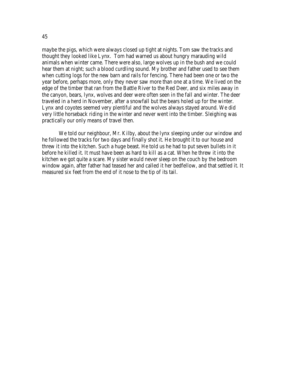maybe the pigs, which were always closed up tight at nights. Tom saw the tracks and thought they looked like Lynx. Tom had warned us about hungry marauding wild animals when winter came. There were also, large wolves up in the bush and we could hear them at night; such a blood curdling sound. My brother and father used to see them when cutting logs for the new barn and rails for fencing. There had been one or two the year before, perhaps more, only they never saw more than one at a time. We lived on the edge of the timber that ran from the Battle River to the Red Deer, and six miles away in the canyon, bears, lynx, wolves and deer were often seen in the fall and winter. The deer traveled in a herd in November, after a snowfall but the bears holed up for the winter. Lynx and coyotes seemed very plentiful and the wolves always stayed around. We did very little horseback riding in the winter and never went into the timber. Sleighing was practically our only means of travel then.

We told our neighbour, Mr. Kilby, about the lynx sleeping under our window and he followed the tracks for two days and finally shot it. He brought it to our house and threw it into the kitchen. Such a huge beast. He told us he had to put seven bullets in it before he killed it. It must have been as hard to kill as a cat. When he threw it into the kitchen we got quite a scare. My sister would never sleep on the couch by the bedroom window again, after father had teased her and called it her bedfellow, and that settled it. It measured six feet from the end of it nose to the tip of its tail.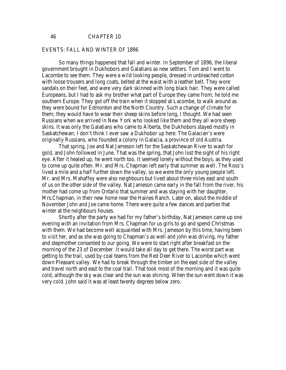#### EVENTS: FALL AND WINTER OF 1896

So many things happened that fall and winter. In September of 1896, the liberal government brought in Dukhobors and Galatians as new settlers. Tom and I went to Lacombe to see them. They were a wild looking people, dressed in unbleached cotton with loose trousers and long coats, belted at the waist with a leather belt. They wore sandals on their feet, and were very dark skinned with long black hair. They were called Europeans, but I had to ask my brother what part of Europe they came from; he told me southern Europe. They got off the train when it stopped at Lacombe, to walk around as they were bound for Edmonton and the North Country. Such a change of climate for them; they would have to wear their sheep skins before long, I thought. We had seen Russians when we arrived in New York who looked like them and they all wore sheep skins. It was only the Galatians who came to Alberta, the Dukhobors stayed mostly in Saskatchewan; I don't think I ever saw a Dukhobor up here. The Galacian's were originally Russians, who founded a colony in Galacia, a province of old Austria.

That spring, Joe and Nat Jameson left for the Saskatchewan River to wash for gold, and John followed in June. That was the spring, that John lost the sight of his right eye. After it healed up, he went north too. It seemed lonely without the boys, as they used to come up quite often. Mr. and Mrs. Chapman left early that summer as well. The Ross's lived a mile and a half further down the valley, so we were the only young people left. Mr. and Mrs. Mahaffey were also neighbours but lived about three miles east and south of us on the other side of the valley. Nat Jameson came early in the fall from the river, his mother had come up from Ontario that summer and was staying with her daughter, Mrs.Chapman, in their new home near the Haines Ranch. Later on, about the middle of November John and Joe came home. There were quite a few dances and parties that winter at the neighbours houses.

Shortly after the party we had for my father's birthday, Nat Jameson came up one evening with an invitation from Mrs. Chapman for us girls to go and spend Christmas with them. We had become well acquainted with Mrs. Jameson by this time, having been to visit her, and as she was going to Chapman's as well and john was driving, my father and stepmother consented to our going. We were to start right after breakfast on the morning of the 23 of December. It would take all day to get there. The worst part was getting to the trail, used by coal teams from the Red Deer River to Lacombe which went down Pleasant valley. We had to break through the timber on the east side of the valley and travel north and east to the coal trail. That took most of the morning and it was quite cold, although the sky was clear and the sun was shining. When the sun went down it was very cold. John said it was at least twenty degrees below zero.